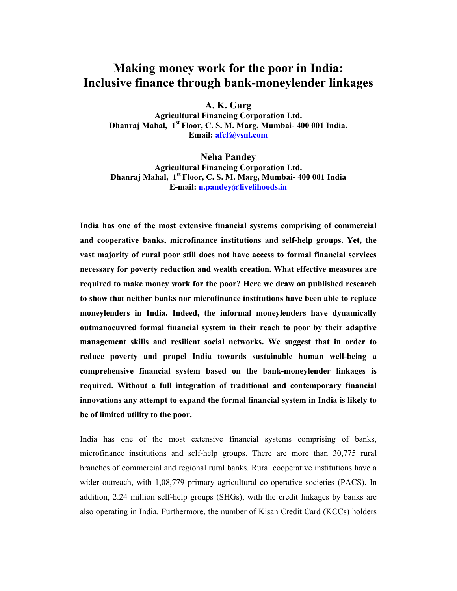## **Making money work for the poor in India: Inclusive finance through bank-moneylender linkages**

**A. K. Garg**

**Agricultural Financing Corporation Ltd. Dhanraj Mahal, 1st Floor, C. S. M. Marg, Mumbai- 400 001 India. Email: afcl@vsnl.com**

**Neha Pandey Agricultural Financing Corporation Ltd. Dhanraj Mahal, 1st Floor, C. S. M. Marg, Mumbai- 400 001 India E-mail: n.pandey@livelihoods.in**

**India has one of the most extensive financial systems comprising of commercial and cooperative banks, microfinance institutions and self-help groups. Yet, the vast majority of rural poor still does not have access to formal financial services necessary for poverty reduction and wealth creation. What effective measures are required to make money work for the poor? Here we draw on published research to show that neither banks nor microfinance institutions have been able to replace moneylenders in India. Indeed, the informal moneylenders have dynamically outmanoeuvred formal financial system in their reach to poor by their adaptive management skills and resilient social networks. We suggest that in order to reduce poverty and propel India towards sustainable human well-being a comprehensive financial system based on the bank-moneylender linkages is required. Without a full integration of traditional and contemporary financial innovations any attempt to expand the formal financial system in India is likely to be of limited utility to the poor.** 

India has one of the most extensive financial systems comprising of banks, microfinance institutions and self-help groups. There are more than 30,775 rural branches of commercial and regional rural banks. Rural cooperative institutions have a wider outreach, with 1,08,779 primary agricultural co-operative societies (PACS). In addition, 2.24 million self-help groups (SHGs), with the credit linkages by banks are also operating in India. Furthermore, the number of Kisan Credit Card (KCCs) holders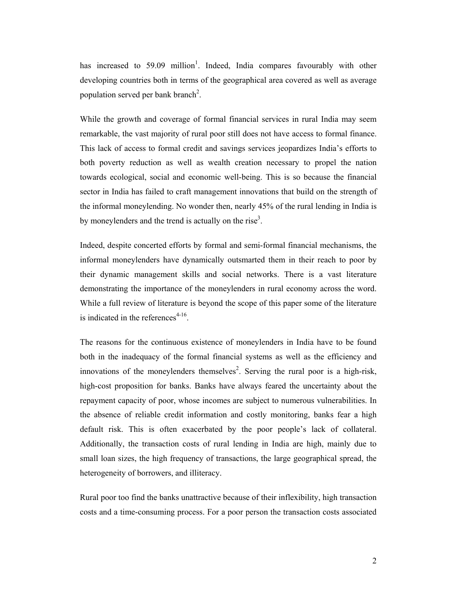has increased to  $59.09$  million<sup>1</sup>. Indeed, India compares favourably with other developing countries both in terms of the geographical area covered as well as average population served per bank branch<sup>2</sup>.

While the growth and coverage of formal financial services in rural India may seem remarkable, the vast majority of rural poor still does not have access to formal finance. This lack of access to formal credit and savings services jeopardizes India's efforts to both poverty reduction as well as wealth creation necessary to propel the nation towards ecological, social and economic well-being. This is so because the financial sector in India has failed to craft management innovations that build on the strength of the informal moneylending. No wonder then, nearly 45% of the rural lending in India is by moneylenders and the trend is actually on the rise<sup>3</sup>.

Indeed, despite concerted efforts by formal and semi-formal financial mechanisms, the informal moneylenders have dynamically outsmarted them in their reach to poor by their dynamic management skills and social networks. There is a vast literature demonstrating the importance of the moneylenders in rural economy across the word. While a full review of literature is beyond the scope of this paper some of the literature is indicated in the references $4-16$ .

The reasons for the continuous existence of moneylenders in India have to be found both in the inadequacy of the formal financial systems as well as the efficiency and innovations of the moneylenders themselves<sup>2</sup>. Serving the rural poor is a high-risk, high-cost proposition for banks. Banks have always feared the uncertainty about the repayment capacity of poor, whose incomes are subject to numerous vulnerabilities. In the absence of reliable credit information and costly monitoring, banks fear a high default risk. This is often exacerbated by the poor people's lack of collateral. Additionally, the transaction costs of rural lending in India are high, mainly due to small loan sizes, the high frequency of transactions, the large geographical spread, the heterogeneity of borrowers, and illiteracy.

Rural poor too find the banks unattractive because of their inflexibility, high transaction costs and a time-consuming process. For a poor person the transaction costs associated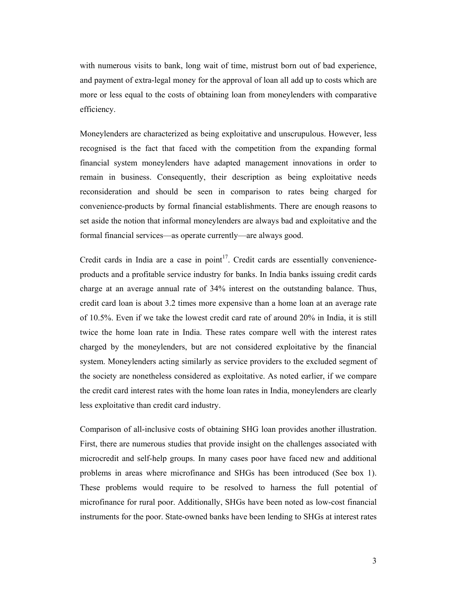with numerous visits to bank, long wait of time, mistrust born out of bad experience, and payment of extra-legal money for the approval of loan all add up to costs which are more or less equal to the costs of obtaining loan from moneylenders with comparative efficiency.

Moneylenders are characterized as being exploitative and unscrupulous. However, less recognised is the fact that faced with the competition from the expanding formal financial system moneylenders have adapted management innovations in order to remain in business. Consequently, their description as being exploitative needs reconsideration and should be seen in comparison to rates being charged for convenience-products by formal financial establishments. There are enough reasons to set aside the notion that informal moneylenders are always bad and exploitative and the formal financial services—as operate currently—are always good.

Credit cards in India are a case in  $point<sup>17</sup>$ . Credit cards are essentially convenienceproducts and a profitable service industry for banks. In India banks issuing credit cards charge at an average annual rate of 34% interest on the outstanding balance. Thus, credit card loan is about 3.2 times more expensive than a home loan at an average rate of 10.5%. Even if we take the lowest credit card rate of around 20% in India, it is still twice the home loan rate in India. These rates compare well with the interest rates charged by the moneylenders, but are not considered exploitative by the financial system. Moneylenders acting similarly as service providers to the excluded segment of the society are nonetheless considered as exploitative. As noted earlier, if we compare the credit card interest rates with the home loan rates in India, moneylenders are clearly less exploitative than credit card industry.

Comparison of all-inclusive costs of obtaining SHG loan provides another illustration. First, there are numerous studies that provide insight on the challenges associated with microcredit and self-help groups. In many cases poor have faced new and additional problems in areas where microfinance and SHGs has been introduced (See box 1). These problems would require to be resolved to harness the full potential of microfinance for rural poor. Additionally, SHGs have been noted as low-cost financial instruments for the poor. State-owned banks have been lending to SHGs at interest rates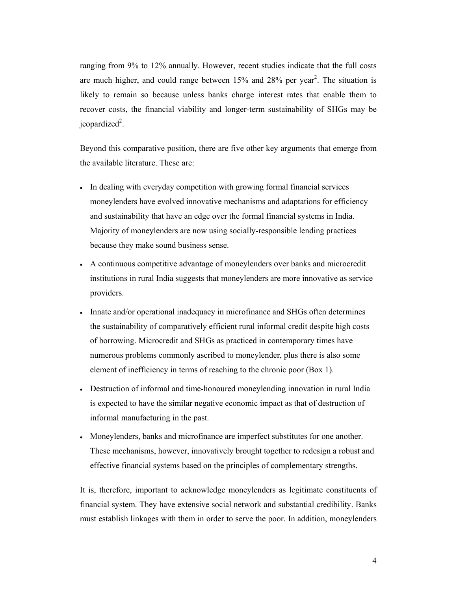ranging from 9% to 12% annually. However, recent studies indicate that the full costs are much higher, and could range between  $15%$  and  $28%$  per year<sup>2</sup>. The situation is likely to remain so because unless banks charge interest rates that enable them to recover costs, the financial viability and longer-term sustainability of SHGs may be jeopardized<sup>2</sup>.

Beyond this comparative position, there are five other key arguments that emerge from the available literature. These are:

- In dealing with everyday competition with growing formal financial services moneylenders have evolved innovative mechanisms and adaptations for efficiency and sustainability that have an edge over the formal financial systems in India. Majority of moneylenders are now using socially-responsible lending practices because they make sound business sense.
- A continuous competitive advantage of moneylenders over banks and microcredit institutions in rural India suggests that moneylenders are more innovative as service providers.
- Innate and/or operational inadequacy in microfinance and SHGs often determines the sustainability of comparatively efficient rural informal credit despite high costs of borrowing. Microcredit and SHGs as practiced in contemporary times have numerous problems commonly ascribed to moneylender, plus there is also some element of inefficiency in terms of reaching to the chronic poor (Box 1).
- Destruction of informal and time-honoured moneylending innovation in rural India is expected to have the similar negative economic impact as that of destruction of informal manufacturing in the past.
- Moneylenders, banks and microfinance are imperfect substitutes for one another. These mechanisms, however, innovatively brought together to redesign a robust and effective financial systems based on the principles of complementary strengths.

It is, therefore, important to acknowledge moneylenders as legitimate constituents of financial system. They have extensive social network and substantial credibility. Banks must establish linkages with them in order to serve the poor. In addition, moneylenders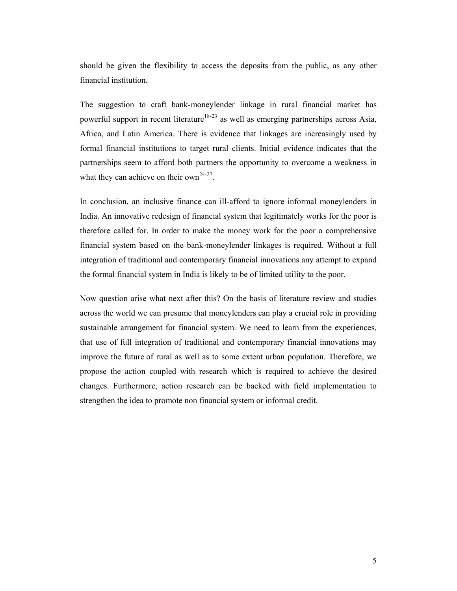should be given the flexibility to access the deposits from the public, as any other financial institution.

The suggestion to craft bank-moneylender linkage in rural financial market has powerful support in recent literature<sup>18-23</sup> as well as emerging partnerships across Asia, Africa, and Latin America. There is evidence that linkages are increasingly used by formal financial institutions to target rural clients. Initial evidence indicates that the partnerships seem to afford both partners the opportunity to overcome a weakness in what they can achieve on their own<sup>24-27</sup>.

In conclusion, an inclusive finance can ill-afford to ignore informal moneylenders in India. An innovative redesign of financial system that legitimately works for the poor is therefore called for. In order to make the money work for the poor a comprehensive financial system based on the bank-moneylender linkages is required. Without a full integration of traditional and contemporary financial innovations any attempt to expand the formal financial system in India is likely to be of limited utility to the poor.

Now question arise what next after this? On the basis of literature review and studies across the world we can presume that moneylenders can play a crucial role in providing sustainable arrangement for financial system. We need to learn from the experiences, that use of full integration of traditional and contemporary financial innovations may improve the future of rural as well as to some extent urban population. Therefore, we propose the action coupled with research which is required to achieve the desired changes. Furthermore, action research can be backed with field implementation to strengthen the idea to promote non financial system or informal credit.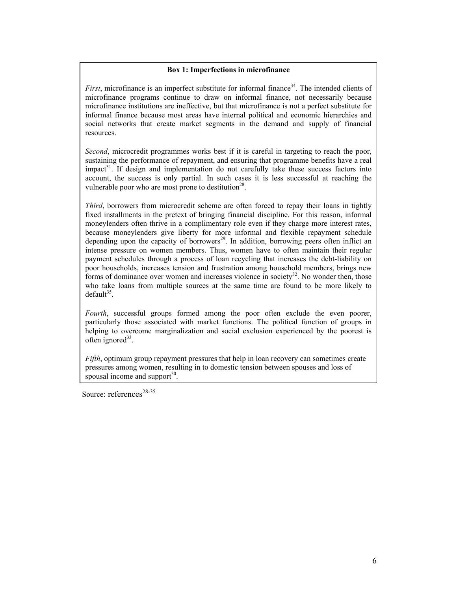## **Box 1: Imperfections in microfinance**

*First*, microfinance is an imperfect substitute for informal finance<sup>34</sup>. The intended clients of microfinance programs continue to draw on informal finance, not necessarily because microfinance institutions are ineffective, but that microfinance is not a perfect substitute for informal finance because most areas have internal political and economic hierarchies and social networks that create market segments in the demand and supply of financial resources.

*Second*, microcredit programmes works best if it is careful in targeting to reach the poor, sustaining the performance of repayment, and ensuring that programme benefits have a real impact<sup>31</sup>. If design and implementation do not carefully take these success factors into account, the success is only partial. In such cases it is less successful at reaching the vulnerable poor who are most prone to destitution<sup>28</sup>.

*Third*, borrowers from microcredit scheme are often forced to repay their loans in tightly fixed installments in the pretext of bringing financial discipline. For this reason, informal moneylenders often thrive in a complimentary role even if they charge more interest rates, because moneylenders give liberty for more informal and flexible repayment schedule depending upon the capacity of borrowers<sup>29</sup>. In addition, borrowing peers often inflict an intense pressure on women members. Thus, women have to often maintain their regular payment schedules through a process of loan recycling that increases the debt-liability on poor households, increases tension and frustration among household members, brings new forms of dominance over women and increases violence in society<sup>32</sup>. No wonder then, those who take loans from multiple sources at the same time are found to be more likely to  $default<sup>35</sup>$ .

*Fourth*, successful groups formed among the poor often exclude the even poorer, particularly those associated with market functions. The political function of groups in helping to overcome marginalization and social exclusion experienced by the poorest is often ignored $33$ .

*Fifth*, optimum group repayment pressures that help in loan recovery can sometimes create pressures among women, resulting in to domestic tension between spouses and loss of spousal income and support<sup>30</sup>.

Source: references<sup>28-35</sup>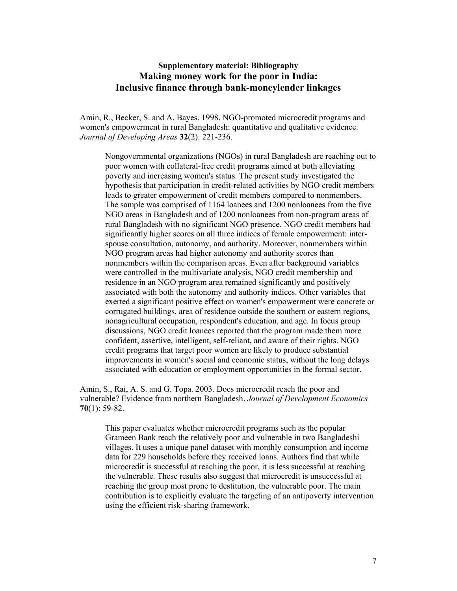## **Supplementary material: Bibliography Making money work for the poor in India: Inclusive finance through bank-moneylender linkages**

Amin, R., Becker, S. and A. Bayes. 1998. NGO-promoted microcredit programs and women's empowerment in rural Bangladesh: quantitative and qualitative evidence. *Journal of Developing Areas* **32**(2): 221-236.

Nongovernmental organizations (NGOs) in rural Bangladesh are reaching out to poor women with collateral-free credit programs aimed at both alleviating poverty and increasing women's status. The present study investigated the hypothesis that participation in credit-related activities by NGO credit members leads to greater empowerment of credit members compared to nonmembers. The sample was comprised of 1164 loanees and 1200 nonloanees from the five NGO areas in Bangladesh and of 1200 nonloanees from non-program areas of rural Bangladesh with no significant NGO presence. NGO credit members had significantly higher scores on all three indices of female empowerment: interspouse consultation, autonomy, and authority. Moreover, nonmembers within NGO program areas had higher autonomy and authority scores than nonmembers within the comparison areas. Even after background variables were controlled in the multivariate analysis, NGO credit membership and residence in an NGO program area remained significantly and positively associated with both the autonomy and authority indices. Other variables that exerted a significant positive effect on women's empowerment were concrete or corrugated buildings, area of residence outside the southern or eastern regions, nonagricultural occupation, respondent's education, and age. In focus group discussions, NGO credit loanees reported that the program made them more confident, assertive, intelligent, self-reliant, and aware of their rights. NGO credit programs that target poor women are likely to produce substantial improvements in women's social and economic status, without the long delays associated with education or employment opportunities in the formal sector.

Amin, S., Rai, A. S. and G. Topa. 2003. Does microcredit reach the poor and vulnerable? Evidence from northern Bangladesh. *Journal of Development Economics* **70**(1): 59-82.

This paper evaluates whether microcredit programs such as the popular Grameen Bank reach the relatively poor and vulnerable in two Bangladeshi villages. It uses a unique panel dataset with monthly consumption and income data for 229 households before they received loans. Authors find that while microcredit is successful at reaching the poor, it is less successful at reaching the vulnerable. These results also suggest that microcredit is unsuccessful at reaching the group most prone to destitution, the vulnerable poor. The main contribution is to explicitly evaluate the targeting of an antipoverty intervention using the efficient risk-sharing framework.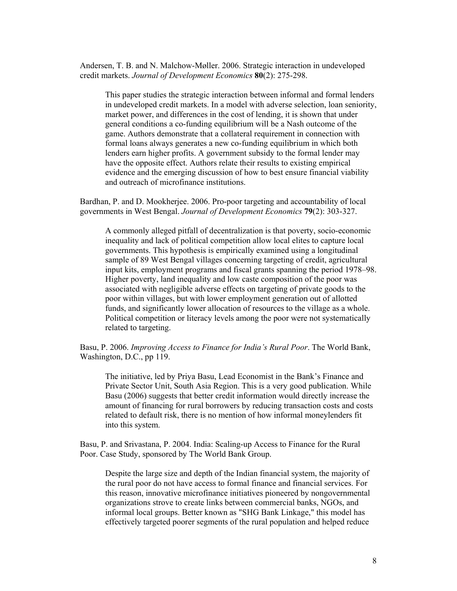Andersen, T. B. and N. Malchow-Møller. 2006. Strategic interaction in undeveloped credit markets. *Journal of Development Economics* **80**(2): 275-298.

This paper studies the strategic interaction between informal and formal lenders in undeveloped credit markets. In a model with adverse selection, loan seniority, market power, and differences in the cost of lending, it is shown that under general conditions a co-funding equilibrium will be a Nash outcome of the game. Authors demonstrate that a collateral requirement in connection with formal loans always generates a new co-funding equilibrium in which both lenders earn higher profits. A government subsidy to the formal lender may have the opposite effect. Authors relate their results to existing empirical evidence and the emerging discussion of how to best ensure financial viability and outreach of microfinance institutions.

Bardhan, P. and D. Mookherjee. 2006. Pro-poor targeting and accountability of local governments in West Bengal. *Journal of Development Economics* **79**(2): 303-327.

A commonly alleged pitfall of decentralization is that poverty, socio-economic inequality and lack of political competition allow local elites to capture local governments. This hypothesis is empirically examined using a longitudinal sample of 89 West Bengal villages concerning targeting of credit, agricultural input kits, employment programs and fiscal grants spanning the period 1978–98. Higher poverty, land inequality and low caste composition of the poor was associated with negligible adverse effects on targeting of private goods to the poor within villages, but with lower employment generation out of allotted funds, and significantly lower allocation of resources to the village as a whole. Political competition or literacy levels among the poor were not systematically related to targeting.

Basu, P. 2006. *Improving Access to Finance for India's Rural Poor*. The World Bank, Washington, D.C., pp 119.

The initiative, led by Priya Basu, Lead Economist in the Bank's Finance and Private Sector Unit, South Asia Region. This is a very good publication. While Basu (2006) suggests that better credit information would directly increase the amount of financing for rural borrowers by reducing transaction costs and costs related to default risk, there is no mention of how informal moneylenders fit into this system.

Basu, P. and Srivastana, P. 2004. India: Scaling-up Access to Finance for the Rural Poor. Case Study, sponsored by The World Bank Group.

Despite the large size and depth of the Indian financial system, the majority of the rural poor do not have access to formal finance and financial services. For this reason, innovative microfinance initiatives pioneered by nongovernmental organizations strove to create links between commercial banks, NGOs, and informal local groups. Better known as "SHG Bank Linkage," this model has effectively targeted poorer segments of the rural population and helped reduce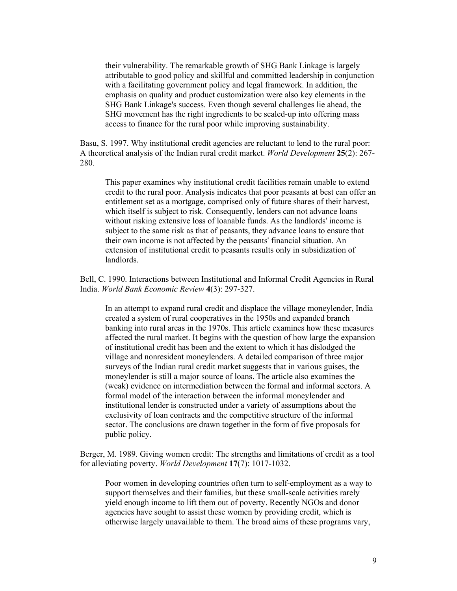their vulnerability. The remarkable growth of SHG Bank Linkage is largely attributable to good policy and skillful and committed leadership in conjunction with a facilitating government policy and legal framework. In addition, the emphasis on quality and product customization were also key elements in the SHG Bank Linkage's success. Even though several challenges lie ahead, the SHG movement has the right ingredients to be scaled-up into offering mass access to finance for the rural poor while improving sustainability.

Basu, S. 1997. Why institutional credit agencies are reluctant to lend to the rural poor: A theoretical analysis of the Indian rural credit market. *World Development* **25**(2): 267- 280.

This paper examines why institutional credit facilities remain unable to extend credit to the rural poor. Analysis indicates that poor peasants at best can offer an entitlement set as a mortgage, comprised only of future shares of their harvest, which itself is subject to risk. Consequently, lenders can not advance loans without risking extensive loss of loanable funds. As the landlords' income is subject to the same risk as that of peasants, they advance loans to ensure that their own income is not affected by the peasants' financial situation. An extension of institutional credit to peasants results only in subsidization of landlords.

Bell, C. 1990. Interactions between Institutional and Informal Credit Agencies in Rural India. *World Bank Economic Review* **4**(3): 297-327.

In an attempt to expand rural credit and displace the village moneylender, India created a system of rural cooperatives in the 1950s and expanded branch banking into rural areas in the 1970s. This article examines how these measures affected the rural market. It begins with the question of how large the expansion of institutional credit has been and the extent to which it has dislodged the village and nonresident moneylenders. A detailed comparison of three major surveys of the Indian rural credit market suggests that in various guises, the moneylender is still a major source of loans. The article also examines the (weak) evidence on intermediation between the formal and informal sectors. A formal model of the interaction between the informal moneylender and institutional lender is constructed under a variety of assumptions about the exclusivity of loan contracts and the competitive structure of the informal sector. The conclusions are drawn together in the form of five proposals for public policy.

Berger, M. 1989. Giving women credit: The strengths and limitations of credit as a tool for alleviating poverty. *World Development* **17**(7): 1017-1032.

Poor women in developing countries often turn to self-employment as a way to support themselves and their families, but these small-scale activities rarely yield enough income to lift them out of poverty. Recently NGOs and donor agencies have sought to assist these women by providing credit, which is otherwise largely unavailable to them. The broad aims of these programs vary,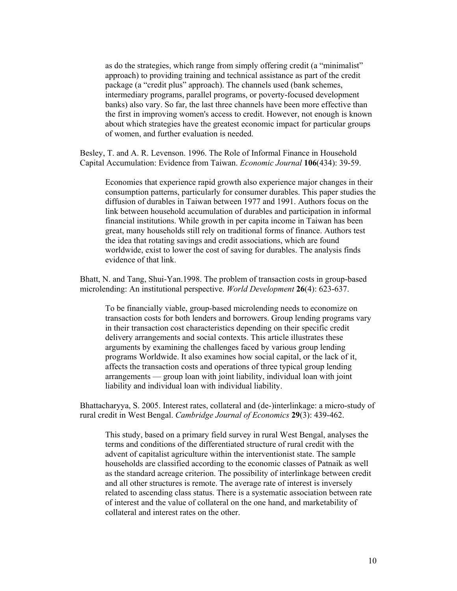as do the strategies, which range from simply offering credit (a "minimalist" approach) to providing training and technical assistance as part of the credit package (a "credit plus" approach). The channels used (bank schemes, intermediary programs, parallel programs, or poverty-focused development banks) also vary. So far, the last three channels have been more effective than the first in improving women's access to credit. However, not enough is known about which strategies have the greatest economic impact for particular groups of women, and further evaluation is needed.

Besley, T. and A. R. Levenson. 1996. The Role of Informal Finance in Household Capital Accumulation: Evidence from Taiwan. *Economic Journal* **106**(434): 39-59.

Economies that experience rapid growth also experience major changes in their consumption patterns, particularly for consumer durables. This paper studies the diffusion of durables in Taiwan between 1977 and 1991. Authors focus on the link between household accumulation of durables and participation in informal financial institutions. While growth in per capita income in Taiwan has been great, many households still rely on traditional forms of finance. Authors test the idea that rotating savings and credit associations, which are found worldwide, exist to lower the cost of saving for durables. The analysis finds evidence of that link.

Bhatt, N. and Tang, Shui-Yan.1998. The problem of transaction costs in group-based microlending: An institutional perspective. *World Development* **26**(4): 623-637.

To be financially viable, group-based microlending needs to economize on transaction costs for both lenders and borrowers. Group lending programs vary in their transaction cost characteristics depending on their specific credit delivery arrangements and social contexts. This article illustrates these arguments by examining the challenges faced by various group lending programs Worldwide. It also examines how social capital, or the lack of it, affects the transaction costs and operations of three typical group lending arrangements — group loan with joint liability, individual loan with joint liability and individual loan with individual liability.

Bhattacharyya, S. 2005. Interest rates, collateral and (de-)interlinkage: a micro-study of rural credit in West Bengal. *Cambridge Journal of Economics* **29**(3): 439-462.

This study, based on a primary field survey in rural West Bengal, analyses the terms and conditions of the differentiated structure of rural credit with the advent of capitalist agriculture within the interventionist state. The sample households are classified according to the economic classes of Patnaik as well as the standard acreage criterion. The possibility of interlinkage between credit and all other structures is remote. The average rate of interest is inversely related to ascending class status. There is a systematic association between rate of interest and the value of collateral on the one hand, and marketability of collateral and interest rates on the other.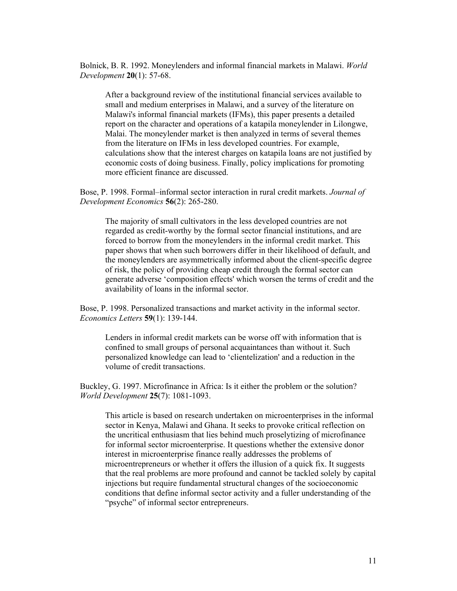Bolnick, B. R. 1992. Moneylenders and informal financial markets in Malawi. *World Development* **20**(1): 57-68.

After a background review of the institutional financial services available to small and medium enterprises in Malawi, and a survey of the literature on Malawi's informal financial markets (IFMs), this paper presents a detailed report on the character and operations of a katapila moneylender in Lilongwe, Malai. The moneylender market is then analyzed in terms of several themes from the literature on IFMs in less developed countries. For example, calculations show that the interest charges on katapila loans are not justified by economic costs of doing business. Finally, policy implications for promoting more efficient finance are discussed.

Bose, P. 1998. Formal–informal sector interaction in rural credit markets. *Journal of Development Economics* **56**(2): 265-280.

The majority of small cultivators in the less developed countries are not regarded as credit-worthy by the formal sector financial institutions, and are forced to borrow from the moneylenders in the informal credit market. This paper shows that when such borrowers differ in their likelihood of default, and the moneylenders are asymmetrically informed about the client-specific degree of risk, the policy of providing cheap credit through the formal sector can generate adverse 'composition effects' which worsen the terms of credit and the availability of loans in the informal sector.

Bose, P. 1998. Personalized transactions and market activity in the informal sector. *Economics Letters* **59**(1): 139-144.

Lenders in informal credit markets can be worse off with information that is confined to small groups of personal acquaintances than without it. Such personalized knowledge can lead to 'clientelization' and a reduction in the volume of credit transactions.

Buckley, G. 1997. Microfinance in Africa: Is it either the problem or the solution? *World Development* **25**(7): 1081-1093.

This article is based on research undertaken on microenterprises in the informal sector in Kenya, Malawi and Ghana. It seeks to provoke critical reflection on the uncritical enthusiasm that lies behind much proselytizing of microfinance for informal sector microenterprise. It questions whether the extensive donor interest in microenterprise finance really addresses the problems of microentrepreneurs or whether it offers the illusion of a quick fix. It suggests that the real problems are more profound and cannot be tackled solely by capital injections but require fundamental structural changes of the socioeconomic conditions that define informal sector activity and a fuller understanding of the "psyche" of informal sector entrepreneurs.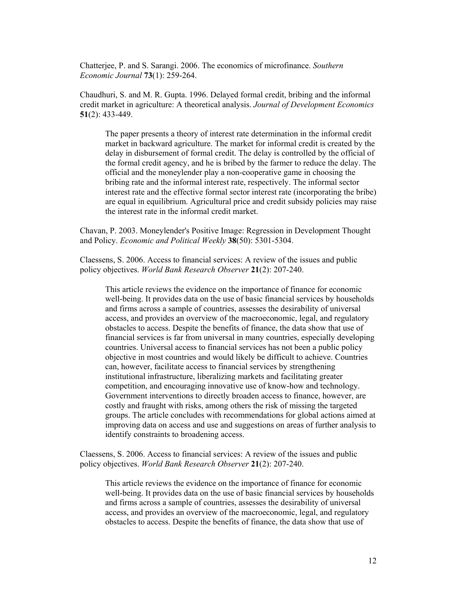Chatterjee, P. and S. Sarangi. 2006. The economics of microfinance. *Southern Economic Journal* **73**(1): 259-264.

Chaudhuri, S. and M. R. Gupta. 1996. Delayed formal credit, bribing and the informal credit market in agriculture: A theoretical analysis. *Journal of Development Economics* **51**(2): 433-449.

The paper presents a theory of interest rate determination in the informal credit market in backward agriculture. The market for informal credit is created by the delay in disbursement of formal credit. The delay is controlled by the official of the formal credit agency, and he is bribed by the farmer to reduce the delay. The official and the moneylender play a non-cooperative game in choosing the bribing rate and the informal interest rate, respectively. The informal sector interest rate and the effective formal sector interest rate (incorporating the bribe) are equal in equilibrium. Agricultural price and credit subsidy policies may raise the interest rate in the informal credit market.

Chavan, P. 2003. Moneylender's Positive Image: Regression in Development Thought and Policy. *Economic and Political Weekly* **38**(50): 5301-5304.

Claessens, S. 2006. Access to financial services: A review of the issues and public policy objectives. *World Bank Research Observer* **21**(2): 207-240.

This article reviews the evidence on the importance of finance for economic well-being. It provides data on the use of basic financial services by households and firms across a sample of countries, assesses the desirability of universal access, and provides an overview of the macroeconomic, legal, and regulatory obstacles to access. Despite the benefits of finance, the data show that use of financial services is far from universal in many countries, especially developing countries. Universal access to financial services has not been a public policy objective in most countries and would likely be difficult to achieve. Countries can, however, facilitate access to financial services by strengthening institutional infrastructure, liberalizing markets and facilitating greater competition, and encouraging innovative use of know-how and technology. Government interventions to directly broaden access to finance, however, are costly and fraught with risks, among others the risk of missing the targeted groups. The article concludes with recommendations for global actions aimed at improving data on access and use and suggestions on areas of further analysis to identify constraints to broadening access.

Claessens, S. 2006. Access to financial services: A review of the issues and public policy objectives. *World Bank Research Observer* **21**(2): 207-240.

This article reviews the evidence on the importance of finance for economic well-being. It provides data on the use of basic financial services by households and firms across a sample of countries, assesses the desirability of universal access, and provides an overview of the macroeconomic, legal, and regulatory obstacles to access. Despite the benefits of finance, the data show that use of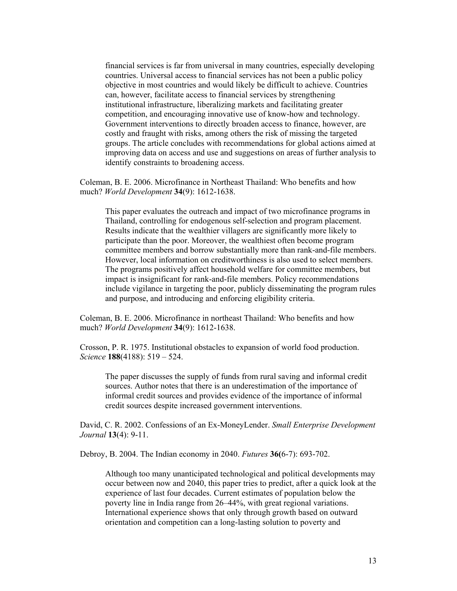financial services is far from universal in many countries, especially developing countries. Universal access to financial services has not been a public policy objective in most countries and would likely be difficult to achieve. Countries can, however, facilitate access to financial services by strengthening institutional infrastructure, liberalizing markets and facilitating greater competition, and encouraging innovative use of know-how and technology. Government interventions to directly broaden access to finance, however, are costly and fraught with risks, among others the risk of missing the targeted groups. The article concludes with recommendations for global actions aimed at improving data on access and use and suggestions on areas of further analysis to identify constraints to broadening access.

Coleman, B. E. 2006. Microfinance in Northeast Thailand: Who benefits and how much? *World Development* **34**(9): 1612-1638.

This paper evaluates the outreach and impact of two microfinance programs in Thailand, controlling for endogenous self-selection and program placement. Results indicate that the wealthier villagers are significantly more likely to participate than the poor. Moreover, the wealthiest often become program committee members and borrow substantially more than rank-and-file members. However, local information on creditworthiness is also used to select members. The programs positively affect household welfare for committee members, but impact is insignificant for rank-and-file members. Policy recommendations include vigilance in targeting the poor, publicly disseminating the program rules and purpose, and introducing and enforcing eligibility criteria.

Coleman, B. E. 2006. Microfinance in northeast Thailand: Who benefits and how much? *World Development* **34**(9): 1612-1638.

Crosson, P. R. 1975. Institutional obstacles to expansion of world food production. *Science* **188**(4188): 519 – 524.

The paper discusses the supply of funds from rural saving and informal credit sources. Author notes that there is an underestimation of the importance of informal credit sources and provides evidence of the importance of informal credit sources despite increased government interventions.

David, C. R. 2002. Confessions of an Ex-MoneyLender. *Small Enterprise Development Journal* **13**(4): 9-11.

Debroy, B. 2004. The Indian economy in 2040. *Futures* **36(**6-7): 693-702.

Although too many unanticipated technological and political developments may occur between now and 2040, this paper tries to predict, after a quick look at the experience of last four decades. Current estimates of population below the poverty line in India range from 26–44%, with great regional variations. International experience shows that only through growth based on outward orientation and competition can a long-lasting solution to poverty and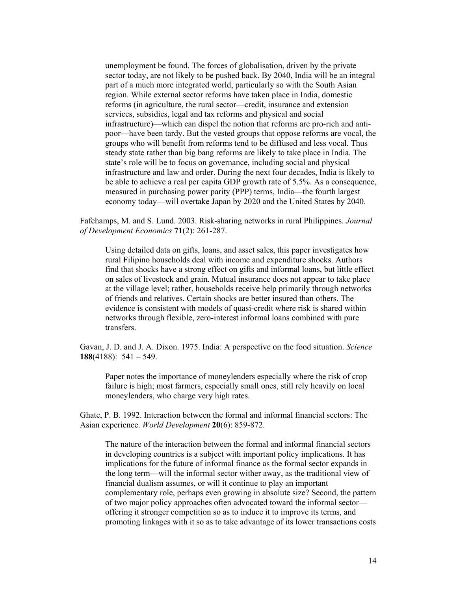unemployment be found. The forces of globalisation, driven by the private sector today, are not likely to be pushed back. By 2040, India will be an integral part of a much more integrated world, particularly so with the South Asian region. While external sector reforms have taken place in India, domestic reforms (in agriculture, the rural sector—credit, insurance and extension services, subsidies, legal and tax reforms and physical and social infrastructure)—which can dispel the notion that reforms are pro-rich and antipoor—have been tardy. But the vested groups that oppose reforms are vocal, the groups who will benefit from reforms tend to be diffused and less vocal. Thus steady state rather than big bang reforms are likely to take place in India. The state's role will be to focus on governance, including social and physical infrastructure and law and order. During the next four decades, India is likely to be able to achieve a real per capita GDP growth rate of 5.5%. As a consequence, measured in purchasing power parity (PPP) terms, India—the fourth largest economy today—will overtake Japan by 2020 and the United States by 2040.

Fafchamps, M. and S. Lund. 2003. Risk-sharing networks in rural Philippines. *Journal of Development Economics* **71**(2): 261-287.

Using detailed data on gifts, loans, and asset sales, this paper investigates how rural Filipino households deal with income and expenditure shocks. Authors find that shocks have a strong effect on gifts and informal loans, but little effect on sales of livestock and grain. Mutual insurance does not appear to take place at the village level; rather, households receive help primarily through networks of friends and relatives. Certain shocks are better insured than others. The evidence is consistent with models of quasi-credit where risk is shared within networks through flexible, zero-interest informal loans combined with pure transfers.

Gavan, J. D. and J. A. Dixon. 1975. India: A perspective on the food situation. *Science* **188**(4188): 541 – 549.

Paper notes the importance of moneylenders especially where the risk of crop failure is high; most farmers, especially small ones, still rely heavily on local moneylenders, who charge very high rates.

Ghate, P. B. 1992. Interaction between the formal and informal financial sectors: The Asian experience. *World Development* **20**(6): 859-872.

The nature of the interaction between the formal and informal financial sectors in developing countries is a subject with important policy implications. It has implications for the future of informal finance as the formal sector expands in the long term—will the informal sector wither away, as the traditional view of financial dualism assumes, or will it continue to play an important complementary role, perhaps even growing in absolute size? Second, the pattern of two major policy approaches often advocated toward the informal sector offering it stronger competition so as to induce it to improve its terms, and promoting linkages with it so as to take advantage of its lower transactions costs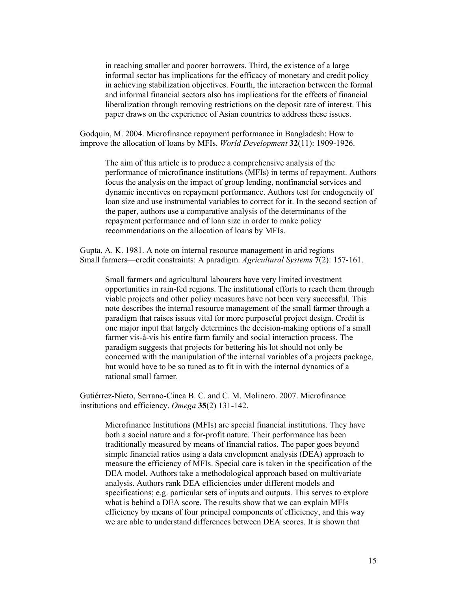in reaching smaller and poorer borrowers. Third, the existence of a large informal sector has implications for the efficacy of monetary and credit policy in achieving stabilization objectives. Fourth, the interaction between the formal and informal financial sectors also has implications for the effects of financial liberalization through removing restrictions on the deposit rate of interest. This paper draws on the experience of Asian countries to address these issues.

Godquin, M. 2004. Microfinance repayment performance in Bangladesh: How to improve the allocation of loans by MFIs. *World Development* **32**(11): 1909-1926.

The aim of this article is to produce a comprehensive analysis of the performance of microfinance institutions (MFIs) in terms of repayment. Authors focus the analysis on the impact of group lending, nonfinancial services and dynamic incentives on repayment performance. Authors test for endogeneity of loan size and use instrumental variables to correct for it. In the second section of the paper, authors use a comparative analysis of the determinants of the repayment performance and of loan size in order to make policy recommendations on the allocation of loans by MFIs.

Gupta, A. K. 1981. A note on internal resource management in arid regions Small farmers—credit constraints: A paradigm. *Agricultural Systems* **7**(2): 157-161.

Small farmers and agricultural labourers have very limited investment opportunities in rain-fed regions. The institutional efforts to reach them through viable projects and other policy measures have not been very successful. This note describes the internal resource management of the small farmer through a paradigm that raises issues vital for more purposeful project design. Credit is one major input that largely determines the decision-making options of a small farmer vis-à-vis his entire farm family and social interaction process. The paradigm suggests that projects for bettering his lot should not only be concerned with the manipulation of the internal variables of a projects package, but would have to be so tuned as to fit in with the internal dynamics of a rational small farmer.

Gutiérrez-Nieto, Serrano-Cinca B. C. and C. M. Molinero. 2007. Microfinance institutions and efficiency. *Omega* **35**(2) 131-142.

Microfinance Institutions (MFIs) are special financial institutions. They have both a social nature and a for-profit nature. Their performance has been traditionally measured by means of financial ratios. The paper goes beyond simple financial ratios using a data envelopment analysis (DEA) approach to measure the efficiency of MFIs. Special care is taken in the specification of the DEA model. Authors take a methodological approach based on multivariate analysis. Authors rank DEA efficiencies under different models and specifications; e.g. particular sets of inputs and outputs. This serves to explore what is behind a DEA score. The results show that we can explain MFIs efficiency by means of four principal components of efficiency, and this way we are able to understand differences between DEA scores. It is shown that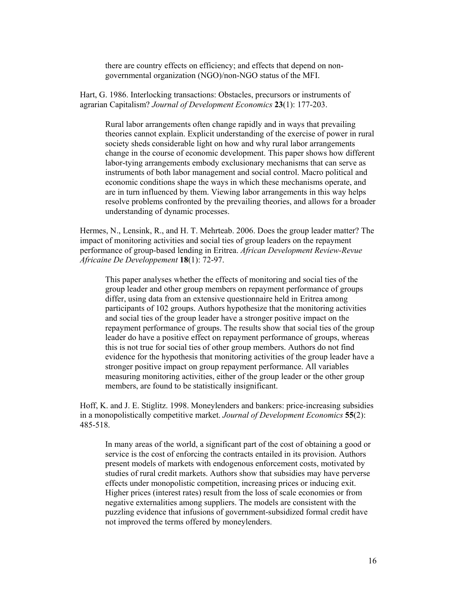there are country effects on efficiency; and effects that depend on nongovernmental organization (NGO)/non-NGO status of the MFI.

Hart, G. 1986. Interlocking transactions: Obstacles, precursors or instruments of agrarian Capitalism? *Journal of Development Economics* **23**(1): 177-203.

Rural labor arrangements often change rapidly and in ways that prevailing theories cannot explain. Explicit understanding of the exercise of power in rural society sheds considerable light on how and why rural labor arrangements change in the course of economic development. This paper shows how different labor-tying arrangements embody exclusionary mechanisms that can serve as instruments of both labor management and social control. Macro political and economic conditions shape the ways in which these mechanisms operate, and are in turn influenced by them. Viewing labor arrangements in this way helps resolve problems confronted by the prevailing theories, and allows for a broader understanding of dynamic processes.

Hermes, N., Lensink, R., and H. T. Mehrteab. 2006. Does the group leader matter? The impact of monitoring activities and social ties of group leaders on the repayment performance of group-based lending in Eritrea. *African Development Review-Revue Africaine De Developpement* **18**(1): 72-97.

This paper analyses whether the effects of monitoring and social ties of the group leader and other group members on repayment performance of groups differ, using data from an extensive questionnaire held in Eritrea among participants of 102 groups. Authors hypothesize that the monitoring activities and social ties of the group leader have a stronger positive impact on the repayment performance of groups. The results show that social ties of the group leader do have a positive effect on repayment performance of groups, whereas this is not true for social ties of other group members. Authors do not find evidence for the hypothesis that monitoring activities of the group leader have a stronger positive impact on group repayment performance. All variables measuring monitoring activities, either of the group leader or the other group members, are found to be statistically insignificant.

Hoff, K. and J. E. Stiglitz. 1998. Moneylenders and bankers: price-increasing subsidies in a monopolistically competitive market. *Journal of Development Economics* **55**(2): 485-518.

In many areas of the world, a significant part of the cost of obtaining a good or service is the cost of enforcing the contracts entailed in its provision. Authors present models of markets with endogenous enforcement costs, motivated by studies of rural credit markets. Authors show that subsidies may have perverse effects under monopolistic competition, increasing prices or inducing exit. Higher prices (interest rates) result from the loss of scale economies or from negative externalities among suppliers. The models are consistent with the puzzling evidence that infusions of government-subsidized formal credit have not improved the terms offered by moneylenders.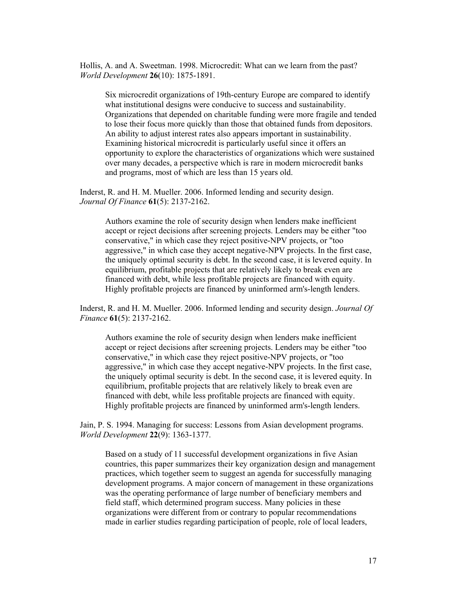Hollis, A. and A. Sweetman. 1998. Microcredit: What can we learn from the past? *World Development* **26**(10): 1875-1891.

Six microcredit organizations of 19th-century Europe are compared to identify what institutional designs were conducive to success and sustainability. Organizations that depended on charitable funding were more fragile and tended to lose their focus more quickly than those that obtained funds from depositors. An ability to adjust interest rates also appears important in sustainability. Examining historical microcredit is particularly useful since it offers an opportunity to explore the characteristics of organizations which were sustained over many decades, a perspective which is rare in modern microcredit banks and programs, most of which are less than 15 years old.

Inderst, R. and H. M. Mueller. 2006. Informed lending and security design. *Journal Of Finance* **61**(5): 2137-2162.

> Authors examine the role of security design when lenders make inefficient accept or reject decisions after screening projects. Lenders may be either "too conservative," in which case they reject positive-NPV projects, or "too aggressive," in which case they accept negative-NPV projects. In the first case, the uniquely optimal security is debt. In the second case, it is levered equity. In equilibrium, profitable projects that are relatively likely to break even are financed with debt, while less profitable projects are financed with equity. Highly profitable projects are financed by uninformed arm's-length lenders.

Inderst, R. and H. M. Mueller. 2006. Informed lending and security design. *Journal Of Finance* **61**(5): 2137-2162.

Authors examine the role of security design when lenders make inefficient accept or reject decisions after screening projects. Lenders may be either "too conservative," in which case they reject positive-NPV projects, or "too aggressive," in which case they accept negative-NPV projects. In the first case, the uniquely optimal security is debt. In the second case, it is levered equity. In equilibrium, profitable projects that are relatively likely to break even are financed with debt, while less profitable projects are financed with equity. Highly profitable projects are financed by uninformed arm's-length lenders.

Jain, P. S. 1994. Managing for success: Lessons from Asian development programs. *World Development* **22**(9): 1363-1377.

Based on a study of 11 successful development organizations in five Asian countries, this paper summarizes their key organization design and management practices, which together seem to suggest an agenda for successfully managing development programs. A major concern of management in these organizations was the operating performance of large number of beneficiary members and field staff, which determined program success. Many policies in these organizations were different from or contrary to popular recommendations made in earlier studies regarding participation of people, role of local leaders,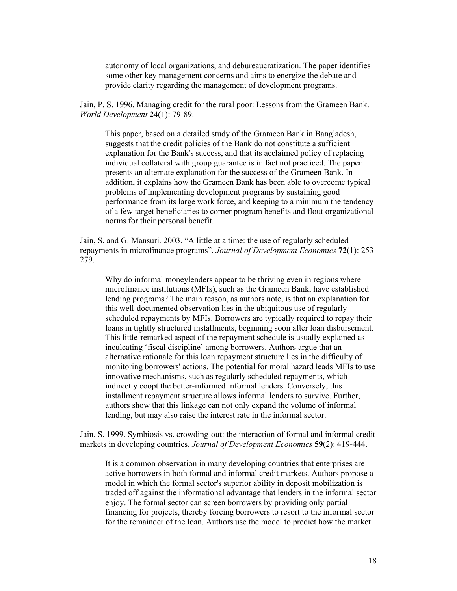autonomy of local organizations, and debureaucratization. The paper identifies some other key management concerns and aims to energize the debate and provide clarity regarding the management of development programs.

Jain, P. S. 1996. Managing credit for the rural poor: Lessons from the Grameen Bank. *World Development* **24**(1): 79-89.

This paper, based on a detailed study of the Grameen Bank in Bangladesh, suggests that the credit policies of the Bank do not constitute a sufficient explanation for the Bank's success, and that its acclaimed policy of replacing individual collateral with group guarantee is in fact not practiced. The paper presents an alternate explanation for the success of the Grameen Bank. In addition, it explains how the Grameen Bank has been able to overcome typical problems of implementing development programs by sustaining good performance from its large work force, and keeping to a minimum the tendency of a few target beneficiaries to corner program benefits and flout organizational norms for their personal benefit.

Jain, S. and G. Mansuri. 2003. "A little at a time: the use of regularly scheduled repayments in microfinance programs". *Journal of Development Economics* **72**(1): 253- 279.

Why do informal moneylenders appear to be thriving even in regions where microfinance institutions (MFIs), such as the Grameen Bank, have established lending programs? The main reason, as authors note, is that an explanation for this well-documented observation lies in the ubiquitous use of regularly scheduled repayments by MFIs. Borrowers are typically required to repay their loans in tightly structured installments, beginning soon after loan disbursement. This little-remarked aspect of the repayment schedule is usually explained as inculcating 'fiscal discipline' among borrowers. Authors argue that an alternative rationale for this loan repayment structure lies in the difficulty of monitoring borrowers' actions. The potential for moral hazard leads MFIs to use innovative mechanisms, such as regularly scheduled repayments, which indirectly coopt the better-informed informal lenders. Conversely, this installment repayment structure allows informal lenders to survive. Further, authors show that this linkage can not only expand the volume of informal lending, but may also raise the interest rate in the informal sector.

Jain. S. 1999. Symbiosis vs. crowding-out: the interaction of formal and informal credit markets in developing countries. *Journal of Development Economics* **59**(2): 419-444.

It is a common observation in many developing countries that enterprises are active borrowers in both formal and informal credit markets. Authors propose a model in which the formal sector's superior ability in deposit mobilization is traded off against the informational advantage that lenders in the informal sector enjoy. The formal sector can screen borrowers by providing only partial financing for projects, thereby forcing borrowers to resort to the informal sector for the remainder of the loan. Authors use the model to predict how the market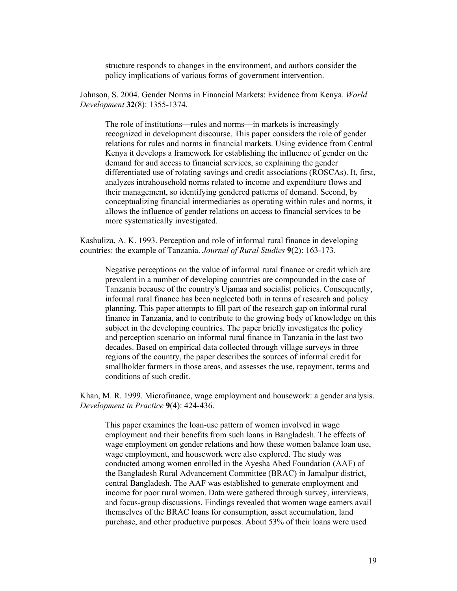structure responds to changes in the environment, and authors consider the policy implications of various forms of government intervention.

Johnson, S. 2004. Gender Norms in Financial Markets: Evidence from Kenya. *World Development* **32**(8): 1355-1374.

The role of institutions––rules and norms––in markets is increasingly recognized in development discourse. This paper considers the role of gender relations for rules and norms in financial markets. Using evidence from Central Kenya it develops a framework for establishing the influence of gender on the demand for and access to financial services, so explaining the gender differentiated use of rotating savings and credit associations (ROSCAs). It, first, analyzes intrahousehold norms related to income and expenditure flows and their management, so identifying gendered patterns of demand. Second, by conceptualizing financial intermediaries as operating within rules and norms, it allows the influence of gender relations on access to financial services to be more systematically investigated.

Kashuliza, A. K. 1993. Perception and role of informal rural finance in developing countries: the example of Tanzania. *Journal of Rural Studies* **9**(2): 163-173.

Negative perceptions on the value of informal rural finance or credit which are prevalent in a number of developing countries are compounded in the case of Tanzania because of the country's Ujamaa and socialist policies. Consequently, informal rural finance has been neglected both in terms of research and policy planning. This paper attempts to fill part of the research gap on informal rural finance in Tanzania, and to contribute to the growing body of knowledge on this subject in the developing countries. The paper briefly investigates the policy and perception scenario on informal rural finance in Tanzania in the last two decades. Based on empirical data collected through village surveys in three regions of the country, the paper describes the sources of informal credit for smallholder farmers in those areas, and assesses the use, repayment, terms and conditions of such credit.

Khan, M. R. 1999. Microfinance, wage employment and housework: a gender analysis. *Development in Practice* **9**(4): 424-436.

This paper examines the loan-use pattern of women involved in wage employment and their benefits from such loans in Bangladesh. The effects of wage employment on gender relations and how these women balance loan use, wage employment, and housework were also explored. The study was conducted among women enrolled in the Ayesha Abed Foundation (AAF) of the Bangladesh Rural Advancement Committee (BRAC) in Jamalpur district, central Bangladesh. The AAF was established to generate employment and income for poor rural women. Data were gathered through survey, interviews, and focus-group discussions. Findings revealed that women wage earners avail themselves of the BRAC loans for consumption, asset accumulation, land purchase, and other productive purposes. About 53% of their loans were used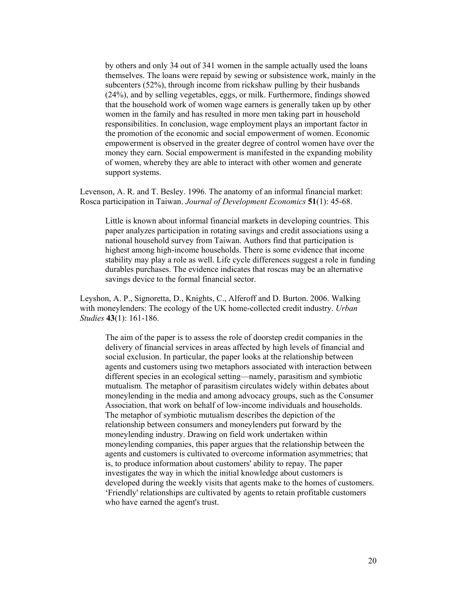by others and only 34 out of 341 women in the sample actually used the loans themselves. The loans were repaid by sewing or subsistence work, mainly in the subcenters (52%), through income from rickshaw pulling by their husbands (24%), and by selling vegetables, eggs, or milk. Furthermore, findings showed that the household work of women wage earners is generally taken up by other women in the family and has resulted in more men taking part in household responsibilities. In conclusion, wage employment plays an important factor in the promotion of the economic and social empowerment of women. Economic empowerment is observed in the greater degree of control women have over the money they earn. Social empowerment is manifested in the expanding mobility of women, whereby they are able to interact with other women and generate support systems.

Levenson, A. R. and T. Besley. 1996. The anatomy of an informal financial market: Rosca participation in Taiwan. *Journal of Development Economics* **51**(1): 45-68.

Little is known about informal financial markets in developing countries. This paper analyzes participation in rotating savings and credit associations using a national household survey from Taiwan. Authors find that participation is highest among high-income households. There is some evidence that income stability may play a role as well. Life cycle differences suggest a role in funding durables purchases. The evidence indicates that roscas may be an alternative savings device to the formal financial sector.

Leyshon, A. P., Signoretta, D., Knights, C., Alferoff and D. Burton. 2006. Walking with moneylenders: The ecology of the UK home-collected credit industry. *Urban Studies* **43**(1): 161-186.

The aim of the paper is to assess the role of doorstep credit companies in the delivery of financial services in areas affected by high levels of financial and social exclusion. In particular, the paper looks at the relationship between agents and customers using two metaphors associated with interaction between different species in an ecological setting—namely, parasitism and symbiotic mutualism. The metaphor of parasitism circulates widely within debates about moneylending in the media and among advocacy groups, such as the Consumer Association, that work on behalf of low-income individuals and households. The metaphor of symbiotic mutualism describes the depiction of the relationship between consumers and moneylenders put forward by the moneylending industry. Drawing on field work undertaken within moneylending companies, this paper argues that the relationship between the agents and customers is cultivated to overcome information asymmetries; that is, to produce information about customers' ability to repay. The paper investigates the way in which the initial knowledge about customers is developed during the weekly visits that agents make to the homes of customers. 'Friendly' relationships are cultivated by agents to retain profitable customers who have earned the agent's trust.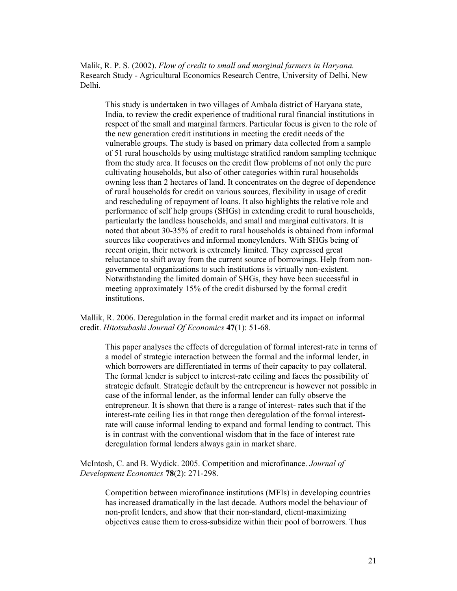Malik, R. P. S. (2002). *Flow of credit to small and marginal farmers in Haryana.* Research Study - Agricultural Economics Research Centre, University of Delhi, New Delhi.

This study is undertaken in two villages of Ambala district of Haryana state, India, to review the credit experience of traditional rural financial institutions in respect of the small and marginal farmers. Particular focus is given to the role of the new generation credit institutions in meeting the credit needs of the vulnerable groups. The study is based on primary data collected from a sample of 51 rural households by using multistage stratified random sampling technique from the study area. It focuses on the credit flow problems of not only the pure cultivating households, but also of other categories within rural households owning less than 2 hectares of land. It concentrates on the degree of dependence of rural households for credit on various sources, flexibility in usage of credit and rescheduling of repayment of loans. It also highlights the relative role and performance of self help groups (SHGs) in extending credit to rural households, particularly the landless households, and small and marginal cultivators. It is noted that about 30-35% of credit to rural households is obtained from informal sources like cooperatives and informal moneylenders. With SHGs being of recent origin, their network is extremely limited. They expressed great reluctance to shift away from the current source of borrowings. Help from nongovernmental organizations to such institutions is virtually non-existent. Notwithstanding the limited domain of SHGs, they have been successful in meeting approximately 15% of the credit disbursed by the formal credit institutions.

Mallik, R. 2006. Deregulation in the formal credit market and its impact on informal credit. *Hitotsubashi Journal Of Economics* **47**(1): 51-68.

This paper analyses the effects of deregulation of formal interest-rate in terms of a model of strategic interaction between the formal and the informal lender, in which borrowers are differentiated in terms of their capacity to pay collateral. The formal lender is subject to interest-rate ceiling and faces the possibility of strategic default. Strategic default by the entrepreneur is however not possible in case of the informal lender, as the informal lender can fully observe the entrepreneur. It is shown that there is a range of interest- rates such that if the interest-rate ceiling lies in that range then deregulation of the formal interestrate will cause informal lending to expand and formal lending to contract. This is in contrast with the conventional wisdom that in the face of interest rate deregulation formal lenders always gain in market share.

McIntosh, C. and B. Wydick. 2005. Competition and microfinance. *Journal of Development Economics* **78**(2): 271-298.

Competition between microfinance institutions (MFIs) in developing countries has increased dramatically in the last decade. Authors model the behaviour of non-profit lenders, and show that their non-standard, client-maximizing objectives cause them to cross-subsidize within their pool of borrowers. Thus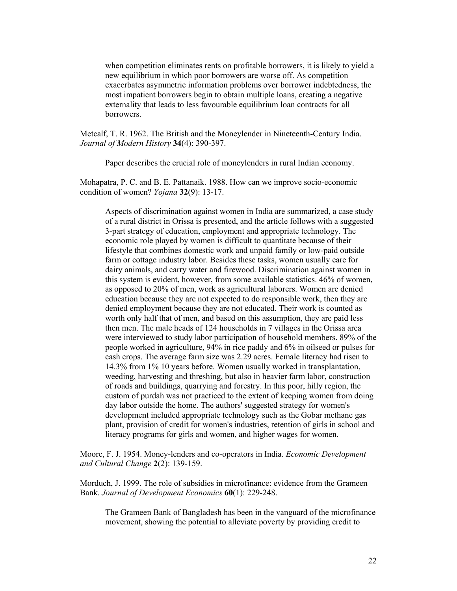when competition eliminates rents on profitable borrowers, it is likely to yield a new equilibrium in which poor borrowers are worse off. As competition exacerbates asymmetric information problems over borrower indebtedness, the most impatient borrowers begin to obtain multiple loans, creating a negative externality that leads to less favourable equilibrium loan contracts for all borrowers.

Metcalf, T. R. 1962. The British and the Moneylender in Nineteenth-Century India. *Journal of Modern History* **34**(4): 390-397.

Paper describes the crucial role of moneylenders in rural Indian economy.

Mohapatra, P. C. and B. E. Pattanaik. 1988. How can we improve socio-economic condition of women? *Yojana* **32**(9): 13-17.

Aspects of discrimination against women in India are summarized, a case study of a rural district in Orissa is presented, and the article follows with a suggested 3-part strategy of education, employment and appropriate technology. The economic role played by women is difficult to quantitate because of their lifestyle that combines domestic work and unpaid family or low-paid outside farm or cottage industry labor. Besides these tasks, women usually care for dairy animals, and carry water and firewood. Discrimination against women in this system is evident, however, from some available statistics. 46% of women, as opposed to 20% of men, work as agricultural laborers. Women are denied education because they are not expected to do responsible work, then they are denied employment because they are not educated. Their work is counted as worth only half that of men, and based on this assumption, they are paid less then men. The male heads of 124 households in 7 villages in the Orissa area were interviewed to study labor participation of household members. 89% of the people worked in agriculture, 94% in rice paddy and 6% in oilseed or pulses for cash crops. The average farm size was 2.29 acres. Female literacy had risen to 14.3% from 1% 10 years before. Women usually worked in transplantation, weeding, harvesting and threshing, but also in heavier farm labor, construction of roads and buildings, quarrying and forestry. In this poor, hilly region, the custom of purdah was not practiced to the extent of keeping women from doing day labor outside the home. The authors' suggested strategy for women's development included appropriate technology such as the Gobar methane gas plant, provision of credit for women's industries, retention of girls in school and literacy programs for girls and women, and higher wages for women.

Moore, F. J. 1954. Money-lenders and co-operators in India. *Economic Development and Cultural Change* **2**(2): 139-159.

Morduch, J. 1999. The role of subsidies in microfinance: evidence from the Grameen Bank. *Journal of Development Economics* **60**(1): 229-248.

The Grameen Bank of Bangladesh has been in the vanguard of the microfinance movement, showing the potential to alleviate poverty by providing credit to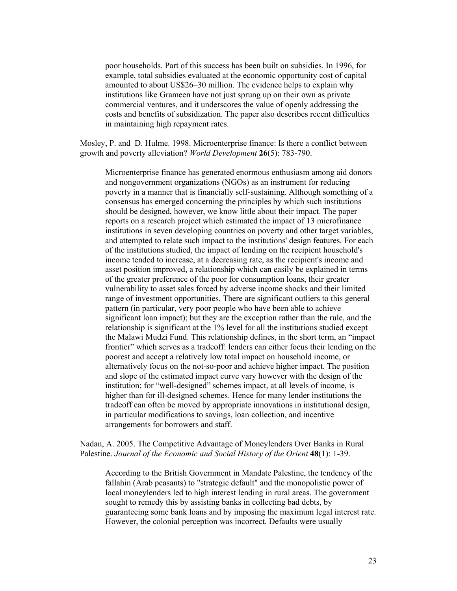poor households. Part of this success has been built on subsidies. In 1996, for example, total subsidies evaluated at the economic opportunity cost of capital amounted to about US\$26–30 million. The evidence helps to explain why institutions like Grameen have not just sprung up on their own as private commercial ventures, and it underscores the value of openly addressing the costs and benefits of subsidization. The paper also describes recent difficulties in maintaining high repayment rates.

Mosley, P. and D. Hulme. 1998. Microenterprise finance: Is there a conflict between growth and poverty alleviation? *World Development* **26**(5): 783-790.

Microenterprise finance has generated enormous enthusiasm among aid donors and nongovernment organizations (NGOs) as an instrument for reducing poverty in a manner that is financially self-sustaining. Although something of a consensus has emerged concerning the principles by which such institutions should be designed, however, we know little about their impact. The paper reports on a research project which estimated the impact of 13 microfinance institutions in seven developing countries on poverty and other target variables, and attempted to relate such impact to the institutions' design features. For each of the institutions studied, the impact of lending on the recipient household's income tended to increase, at a decreasing rate, as the recipient's income and asset position improved, a relationship which can easily be explained in terms of the greater preference of the poor for consumption loans, their greater vulnerability to asset sales forced by adverse income shocks and their limited range of investment opportunities. There are significant outliers to this general pattern (in particular, very poor people who have been able to achieve significant loan impact); but they are the exception rather than the rule, and the relationship is significant at the 1% level for all the institutions studied except the Malawi Mudzi Fund. This relationship defines, in the short term, an "impact frontier" which serves as a tradeoff: lenders can either focus their lending on the poorest and accept a relatively low total impact on household income, or alternatively focus on the not-so-poor and achieve higher impact. The position and slope of the estimated impact curve vary however with the design of the institution: for "well-designed" schemes impact, at all levels of income, is higher than for ill-designed schemes. Hence for many lender institutions the tradeoff can often be moved by appropriate innovations in institutional design, in particular modifications to savings, loan collection, and incentive arrangements for borrowers and staff.

Nadan, A. 2005. The Competitive Advantage of Moneylenders Over Banks in Rural Palestine. *Journal of the Economic and Social History of the Orient* **48**(1): 1-39.

According to the British Government in Mandate Palestine, the tendency of the fallahin (Arab peasants) to "strategic default" and the monopolistic power of local moneylenders led to high interest lending in rural areas. The government sought to remedy this by assisting banks in collecting bad debts, by guaranteeing some bank loans and by imposing the maximum legal interest rate. However, the colonial perception was incorrect. Defaults were usually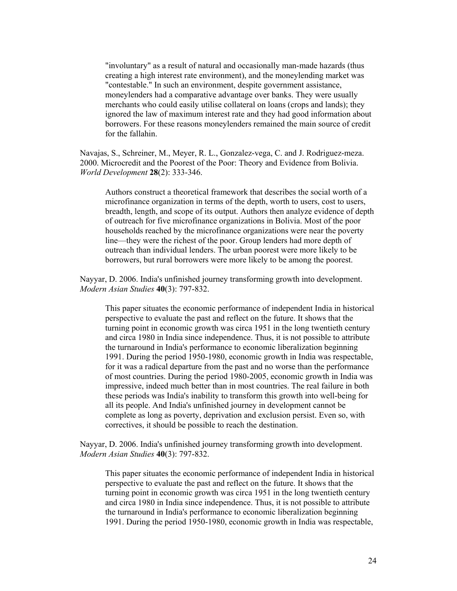"involuntary" as a result of natural and occasionally man-made hazards (thus creating a high interest rate environment), and the moneylending market was "contestable." In such an environment, despite government assistance, moneylenders had a comparative advantage over banks. They were usually merchants who could easily utilise collateral on loans (crops and lands); they ignored the law of maximum interest rate and they had good information about borrowers. For these reasons moneylenders remained the main source of credit for the fallahin.

Navajas, S., Schreiner, M., Meyer, R. L., Gonzalez-vega, C. and J. Rodriguez-meza. 2000. Microcredit and the Poorest of the Poor: Theory and Evidence from Bolivia. *World Development* **28**(2): 333-346.

Authors construct a theoretical framework that describes the social worth of a microfinance organization in terms of the depth, worth to users, cost to users, breadth, length, and scope of its output. Authors then analyze evidence of depth of outreach for five microfinance organizations in Bolivia. Most of the poor households reached by the microfinance organizations were near the poverty line—they were the richest of the poor. Group lenders had more depth of outreach than individual lenders. The urban poorest were more likely to be borrowers, but rural borrowers were more likely to be among the poorest.

Nayyar, D. 2006. India's unfinished journey transforming growth into development. *Modern Asian Studies* **40**(3): 797-832.

This paper situates the economic performance of independent India in historical perspective to evaluate the past and reflect on the future. It shows that the turning point in economic growth was circa 1951 in the long twentieth century and circa 1980 in India since independence. Thus, it is not possible to attribute the turnaround in India's performance to economic liberalization beginning 1991. During the period 1950-1980, economic growth in India was respectable, for it was a radical departure from the past and no worse than the performance of most countries. During the period 1980-2005, economic growth in India was impressive, indeed much better than in most countries. The real failure in both these periods was India's inability to transform this growth into well-being for all its people. And India's unfinished journey in development cannot be complete as long as poverty, deprivation and exclusion persist. Even so, with correctives, it should be possible to reach the destination.

Nayyar, D. 2006. India's unfinished journey transforming growth into development. *Modern Asian Studies* **40**(3): 797-832.

This paper situates the economic performance of independent India in historical perspective to evaluate the past and reflect on the future. It shows that the turning point in economic growth was circa 1951 in the long twentieth century and circa 1980 in India since independence. Thus, it is not possible to attribute the turnaround in India's performance to economic liberalization beginning 1991. During the period 1950-1980, economic growth in India was respectable,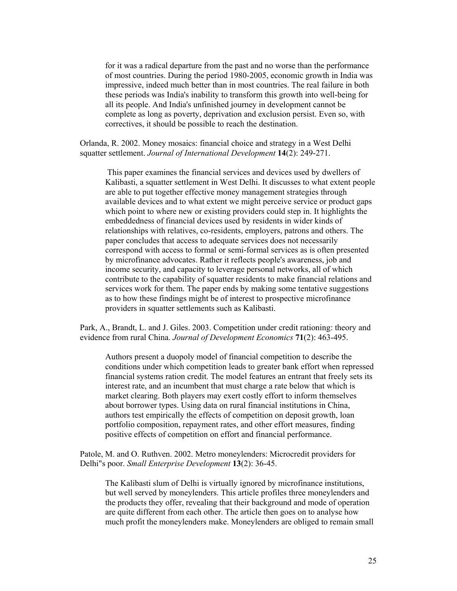for it was a radical departure from the past and no worse than the performance of most countries. During the period 1980-2005, economic growth in India was impressive, indeed much better than in most countries. The real failure in both these periods was India's inability to transform this growth into well-being for all its people. And India's unfinished journey in development cannot be complete as long as poverty, deprivation and exclusion persist. Even so, with correctives, it should be possible to reach the destination.

Orlanda, R. 2002. Money mosaics: financial choice and strategy in a West Delhi squatter settlement. *Journal of International Development* **14**(2): 249-271.

 This paper examines the financial services and devices used by dwellers of Kalibasti, a squatter settlement in West Delhi. It discusses to what extent people are able to put together effective money management strategies through available devices and to what extent we might perceive service or product gaps which point to where new or existing providers could step in. It highlights the embeddedness of financial devices used by residents in wider kinds of relationships with relatives, co-residents, employers, patrons and others. The paper concludes that access to adequate services does not necessarily correspond with access to formal or semi-formal services as is often presented by microfinance advocates. Rather it reflects people's awareness, job and income security, and capacity to leverage personal networks, all of which contribute to the capability of squatter residents to make financial relations and services work for them. The paper ends by making some tentative suggestions as to how these findings might be of interest to prospective microfinance providers in squatter settlements such as Kalibasti.

Park, A., Brandt, L. and J. Giles. 2003. Competition under credit rationing: theory and evidence from rural China. *Journal of Development Economics* **71**(2): 463-495.

Authors present a duopoly model of financial competition to describe the conditions under which competition leads to greater bank effort when repressed financial systems ration credit. The model features an entrant that freely sets its interest rate, and an incumbent that must charge a rate below that which is market clearing. Both players may exert costly effort to inform themselves about borrower types. Using data on rural financial institutions in China, authors test empirically the effects of competition on deposit growth, loan portfolio composition, repayment rates, and other effort measures, finding positive effects of competition on effort and financial performance.

Patole, M. and O. Ruthven. 2002. Metro moneylenders: Microcredit providers for Delhi"s poor. *Small Enterprise Development* **13**(2): 36-45.

The Kalibasti slum of Delhi is virtually ignored by microfinance institutions, but well served by moneylenders. This article profiles three moneylenders and the products they offer, revealing that their background and mode of operation are quite different from each other. The article then goes on to analyse how much profit the moneylenders make. Moneylenders are obliged to remain small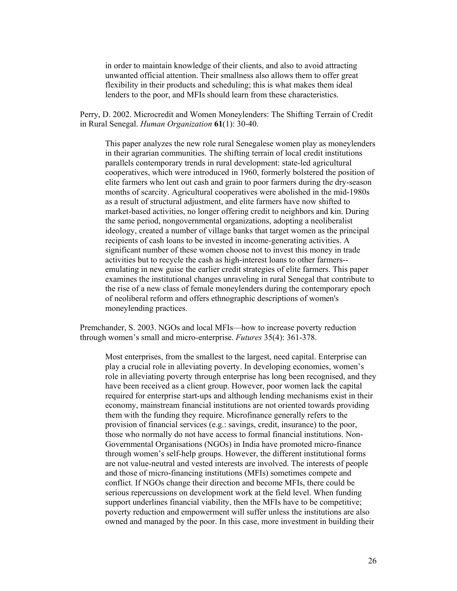in order to maintain knowledge of their clients, and also to avoid attracting unwanted official attention. Their smallness also allows them to offer great flexibility in their products and scheduling; this is what makes them ideal lenders to the poor, and MFIs should learn from these characteristics.

Perry, D. 2002. Microcredit and Women Moneylenders: The Shifting Terrain of Credit in Rural Senegal. *Human Organization* **61**(1): 30-40.

This paper analyzes the new role rural Senegalese women play as moneylenders in their agrarian communities. The shifting terrain of local credit institutions parallels contemporary trends in rural development: state-led agricultural cooperatives, which were introduced in 1960, formerly bolstered the position of elite farmers who lent out cash and grain to poor farmers during the dry-season months of scarcity. Agricultural cooperatives were abolished in the mid-1980s as a result of structural adjustment, and elite farmers have now shifted to market-based activities, no longer offering credit to neighbors and kin. During the same period, nongovernmental organizations, adopting a neoliberalist ideology, created a number of village banks that target women as the principal recipients of cash loans to be invested in income-generating activities. A significant number of these women choose not to invest this money in trade activities but to recycle the cash as high-interest loans to other farmers- emulating in new guise the earlier credit strategies of elite farmers. This paper examines the institutional changes unraveling in rural Senegal that contribute to the rise of a new class of female moneylenders during the contemporary epoch of neoliberal reform and offers ethnographic descriptions of women's moneylending practices.

Premchander, S. 2003. NGOs and local MFIs—how to increase poverty reduction through women's small and micro-enterprise. *Futures* 35(4): 361-378.

Most enterprises, from the smallest to the largest, need capital. Enterprise can play a crucial role in alleviating poverty. In developing economies, women's role in alleviating poverty through enterprise has long been recognised, and they have been received as a client group. However, poor women lack the capital required for enterprise start-ups and although lending mechanisms exist in their economy, mainstream financial institutions are not oriented towards providing them with the funding they require. Microfinance generally refers to the provision of financial services (e.g.: savings, credit, insurance) to the poor, those who normally do not have access to formal financial institutions. Non-Governmental Organisations (NGOs) in India have promoted micro-finance through women's self-help groups. However, the different institutional forms are not value-neutral and vested interests are involved. The interests of people and those of micro-financing institutions (MFIs) sometimes compete and conflict. If NGOs change their direction and become MFIs, there could be serious repercussions on development work at the field level. When funding support underlines financial viability, then the MFIs have to be competitive; poverty reduction and empowerment will suffer unless the institutions are also owned and managed by the poor. In this case, more investment in building their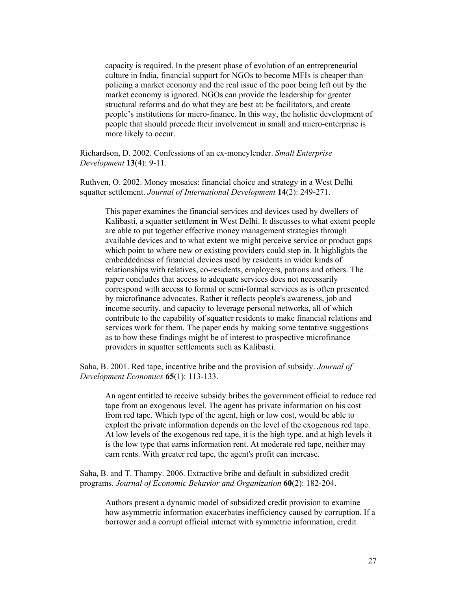capacity is required. In the present phase of evolution of an entrepreneurial culture in India, financial support for NGOs to become MFIs is cheaper than policing a market economy and the real issue of the poor being left out by the market economy is ignored. NGOs can provide the leadership for greater structural reforms and do what they are best at: be facilitators, and create people's institutions for micro-finance. In this way, the holistic development of people that should precede their involvement in small and micro-enterprise is more likely to occur.

Richardson, D. 2002. Confessions of an ex-moneylender. *Small Enterprise Development* **13**(4): 9-11.

Ruthven, O. 2002. Money mosaics: financial choice and strategy in a West Delhi squatter settlement. *Journal of International Development* **14**(2): 249-271.

This paper examines the financial services and devices used by dwellers of Kalibasti, a squatter settlement in West Delhi. It discusses to what extent people are able to put together effective money management strategies through available devices and to what extent we might perceive service or product gaps which point to where new or existing providers could step in. It highlights the embeddedness of financial devices used by residents in wider kinds of relationships with relatives, co-residents, employers, patrons and others. The paper concludes that access to adequate services does not necessarily correspond with access to formal or semi-formal services as is often presented by microfinance advocates. Rather it reflects people's awareness, job and income security, and capacity to leverage personal networks, all of which contribute to the capability of squatter residents to make financial relations and services work for them. The paper ends by making some tentative suggestions as to how these findings might be of interest to prospective microfinance providers in squatter settlements such as Kalibasti.

Saha, B. 2001. Red tape, incentive bribe and the provision of subsidy. *Journal of Development Economics* **65**(1): 113-133.

An agent entitled to receive subsidy bribes the government official to reduce red tape from an exogenous level. The agent has private information on his cost from red tape. Which type of the agent, high or low cost, would be able to exploit the private information depends on the level of the exogenous red tape. At low levels of the exogenous red tape, it is the high type, and at high levels it is the low type that earns information rent. At moderate red tape, neither may earn rents. With greater red tape, the agent's profit can increase.

Saha, B. and T. Thampy. 2006. Extractive bribe and default in subsidized credit programs. *Journal of Economic Behavior and Organization* **60**(2): 182-204.

Authors present a dynamic model of subsidized credit provision to examine how asymmetric information exacerbates inefficiency caused by corruption. If a borrower and a corrupt official interact with symmetric information, credit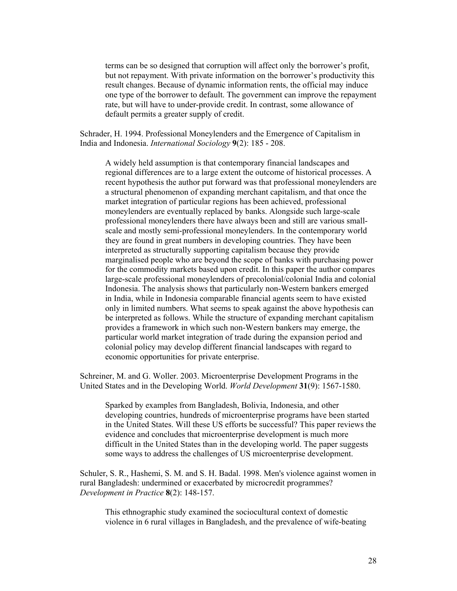terms can be so designed that corruption will affect only the borrower's profit, but not repayment. With private information on the borrower's productivity this result changes. Because of dynamic information rents, the official may induce one type of the borrower to default. The government can improve the repayment rate, but will have to under-provide credit. In contrast, some allowance of default permits a greater supply of credit.

Schrader, H. 1994. Professional Moneylenders and the Emergence of Capitalism in India and Indonesia. *International Sociology* **9**(2): 185 - 208.

A widely held assumption is that contemporary financial landscapes and regional differences are to a large extent the outcome of historical processes. A recent hypothesis the author put forward was that professional moneylenders are a structural phenomenon of expanding merchant capitalism, and that once the market integration of particular regions has been achieved, professional moneylenders are eventually replaced by banks. Alongside such large-scale professional moneylenders there have always been and still are various smallscale and mostly semi-professional moneylenders. In the contemporary world they are found in great numbers in developing countries. They have been interpreted as structurally supporting capitalism because they provide marginalised people who are beyond the scope of banks with purchasing power for the commodity markets based upon credit. In this paper the author compares large-scale professional moneylenders of precolonial/colonial India and colonial Indonesia. The analysis shows that particularly non-Western bankers emerged in India, while in Indonesia comparable financial agents seem to have existed only in limited numbers. What seems to speak against the above hypothesis can be interpreted as follows. While the structure of expanding merchant capitalism provides a framework in which such non-Western bankers may emerge, the particular world market integration of trade during the expansion period and colonial policy may develop different financial landscapes with regard to economic opportunities for private enterprise.

Schreiner, M. and G. Woller. 2003. Microenterprise Development Programs in the United States and in the Developing World. *World Development* **31**(9): 1567-1580.

Sparked by examples from Bangladesh, Bolivia, Indonesia, and other developing countries, hundreds of microenterprise programs have been started in the United States. Will these US efforts be successful? This paper reviews the evidence and concludes that microenterprise development is much more difficult in the United States than in the developing world. The paper suggests some ways to address the challenges of US microenterprise development.

Schuler, S. R., Hashemi, S. M. and S. H. Badal. 1998. Men's violence against women in rural Bangladesh: undermined or exacerbated by microcredit programmes? *Development in Practice* **8**(2): 148-157.

This ethnographic study examined the sociocultural context of domestic violence in 6 rural villages in Bangladesh, and the prevalence of wife-beating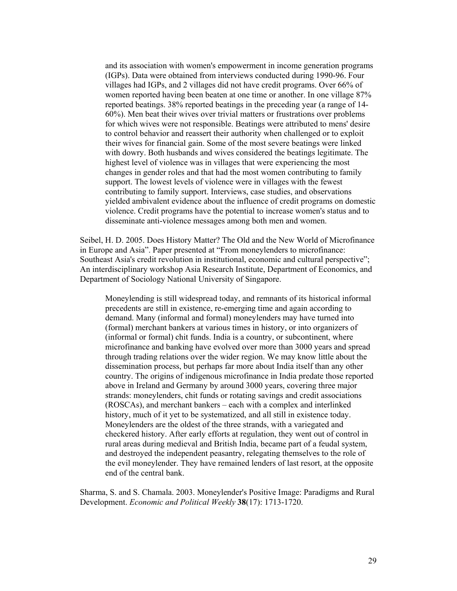and its association with women's empowerment in income generation programs (IGPs). Data were obtained from interviews conducted during 1990-96. Four villages had IGPs, and 2 villages did not have credit programs. Over 66% of women reported having been beaten at one time or another. In one village 87% reported beatings. 38% reported beatings in the preceding year (a range of 14- 60%). Men beat their wives over trivial matters or frustrations over problems for which wives were not responsible. Beatings were attributed to mens' desire to control behavior and reassert their authority when challenged or to exploit their wives for financial gain. Some of the most severe beatings were linked with dowry. Both husbands and wives considered the beatings legitimate. The highest level of violence was in villages that were experiencing the most changes in gender roles and that had the most women contributing to family support. The lowest levels of violence were in villages with the fewest contributing to family support. Interviews, case studies, and observations yielded ambivalent evidence about the influence of credit programs on domestic violence. Credit programs have the potential to increase women's status and to disseminate anti-violence messages among both men and women.

Seibel, H. D. 2005. Does History Matter? The Old and the New World of Microfinance in Europe and Asia". Paper presented at "From moneylenders to microfinance: Southeast Asia's credit revolution in institutional, economic and cultural perspective"; An interdisciplinary workshop Asia Research Institute, Department of Economics, and Department of Sociology National University of Singapore.

Moneylending is still widespread today, and remnants of its historical informal precedents are still in existence, re-emerging time and again according to demand. Many (informal and formal) moneylenders may have turned into (formal) merchant bankers at various times in history, or into organizers of (informal or formal) chit funds. India is a country, or subcontinent, where microfinance and banking have evolved over more than 3000 years and spread through trading relations over the wider region. We may know little about the dissemination process, but perhaps far more about India itself than any other country. The origins of indigenous microfinance in India predate those reported above in Ireland and Germany by around 3000 years, covering three major strands: moneylenders, chit funds or rotating savings and credit associations (ROSCAs), and merchant bankers – each with a complex and interlinked history, much of it yet to be systematized, and all still in existence today. Moneylenders are the oldest of the three strands, with a variegated and checkered history. After early efforts at regulation, they went out of control in rural areas during medieval and British India, became part of a feudal system, and destroyed the independent peasantry, relegating themselves to the role of the evil moneylender. They have remained lenders of last resort, at the opposite end of the central bank.

Sharma, S. and S. Chamala. 2003. Moneylender's Positive Image: Paradigms and Rural Development. *Economic and Political Weekly* **38**(17): 1713-1720.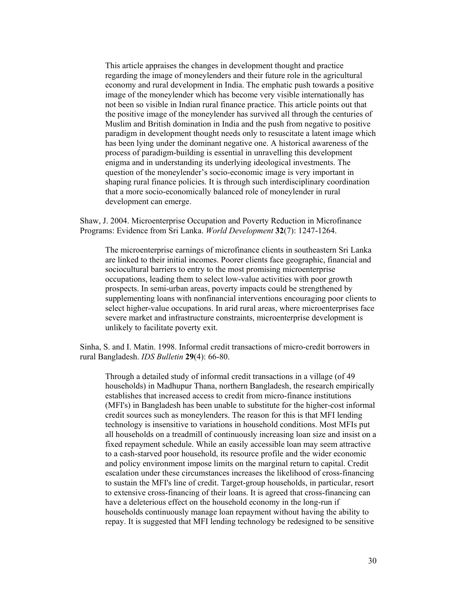This article appraises the changes in development thought and practice regarding the image of moneylenders and their future role in the agricultural economy and rural development in India. The emphatic push towards a positive image of the moneylender which has become very visible internationally has not been so visible in Indian rural finance practice. This article points out that the positive image of the moneylender has survived all through the centuries of Muslim and British domination in India and the push from negative to positive paradigm in development thought needs only to resuscitate a latent image which has been lying under the dominant negative one. A historical awareness of the process of paradigm-building is essential in unravelling this development enigma and in understanding its underlying ideological investments. The question of the moneylender's socio-economic image is very important in shaping rural finance policies. It is through such interdisciplinary coordination that a more socio-economically balanced role of moneylender in rural development can emerge.

Shaw, J. 2004. Microenterprise Occupation and Poverty Reduction in Microfinance Programs: Evidence from Sri Lanka. *World Development* **32**(7): 1247-1264.

The microenterprise earnings of microfinance clients in southeastern Sri Lanka are linked to their initial incomes. Poorer clients face geographic, financial and sociocultural barriers to entry to the most promising microenterprise occupations, leading them to select low-value activities with poor growth prospects. In semi-urban areas, poverty impacts could be strengthened by supplementing loans with nonfinancial interventions encouraging poor clients to select higher-value occupations. In arid rural areas, where microenterprises face severe market and infrastructure constraints, microenterprise development is unlikely to facilitate poverty exit.

Sinha, S. and I. Matin. 1998. Informal credit transactions of micro-credit borrowers in rural Bangladesh. *IDS Bulletin* **29**(4): 66-80.

Through a detailed study of informal credit transactions in a village (of 49 households) in Madhupur Thana, northern Bangladesh, the research empirically establishes that increased access to credit from micro-finance institutions (MFI's) in Bangladesh has been unable to substitute for the higher-cost informal credit sources such as moneylenders. The reason for this is that MFI lending technology is insensitive to variations in household conditions. Most MFIs put all households on a treadmill of continuously increasing loan size and insist on a fixed repayment schedule. While an easily accessible loan may seem attractive to a cash-starved poor household, its resource profile and the wider economic and policy environment impose limits on the marginal return to capital. Credit escalation under these circumstances increases the likelihood of cross-financing to sustain the MFI's line of credit. Target-group households, in particular, resort to extensive cross-financing of their loans. It is agreed that cross-financing can have a deleterious effect on the household economy in the long-run if households continuously manage loan repayment without having the ability to repay. It is suggested that MFI lending technology be redesigned to be sensitive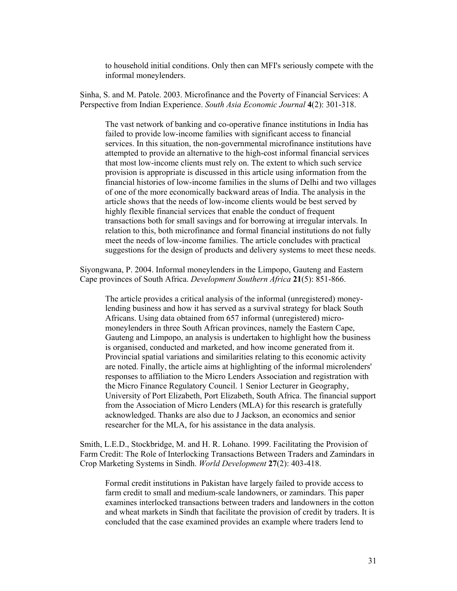to household initial conditions. Only then can MFI's seriously compete with the informal moneylenders.

Sinha, S. and M. Patole. 2003. Microfinance and the Poverty of Financial Services: A Perspective from Indian Experience. *South Asia Economic Journal* **4**(2): 301-318.

The vast network of banking and co-operative finance institutions in India has failed to provide low-income families with significant access to financial services. In this situation, the non-governmental microfinance institutions have attempted to provide an alternative to the high-cost informal financial services that most low-income clients must rely on. The extent to which such service provision is appropriate is discussed in this article using information from the financial histories of low-income families in the slums of Delhi and two villages of one of the more economically backward areas of India. The analysis in the article shows that the needs of low-income clients would be best served by highly flexible financial services that enable the conduct of frequent transactions both for small savings and for borrowing at irregular intervals. In relation to this, both microfinance and formal financial institutions do not fully meet the needs of low-income families. The article concludes with practical suggestions for the design of products and delivery systems to meet these needs.

Siyongwana, P. 2004. Informal moneylenders in the Limpopo, Gauteng and Eastern Cape provinces of South Africa. *Development Southern Africa* **21**(5): 851-866.

The article provides a critical analysis of the informal (unregistered) moneylending business and how it has served as a survival strategy for black South Africans. Using data obtained from 657 informal (unregistered) micromoneylenders in three South African provinces, namely the Eastern Cape, Gauteng and Limpopo, an analysis is undertaken to highlight how the business is organised, conducted and marketed, and how income generated from it. Provincial spatial variations and similarities relating to this economic activity are noted. Finally, the article aims at highlighting of the informal microlenders' responses to affiliation to the Micro Lenders Association and registration with the Micro Finance Regulatory Council. 1 Senior Lecturer in Geography, University of Port Elizabeth, Port Elizabeth, South Africa. The financial support from the Association of Micro Lenders (MLA) for this research is gratefully acknowledged. Thanks are also due to J Jackson, an economics and senior researcher for the MLA, for his assistance in the data analysis.

Smith, L.E.D., Stockbridge, M. and H. R. Lohano. 1999. Facilitating the Provision of Farm Credit: The Role of Interlocking Transactions Between Traders and Zamindars in Crop Marketing Systems in Sindh. *World Development* **27**(2): 403-418.

Formal credit institutions in Pakistan have largely failed to provide access to farm credit to small and medium-scale landowners, or zamindars. This paper examines interlocked transactions between traders and landowners in the cotton and wheat markets in Sindh that facilitate the provision of credit by traders. It is concluded that the case examined provides an example where traders lend to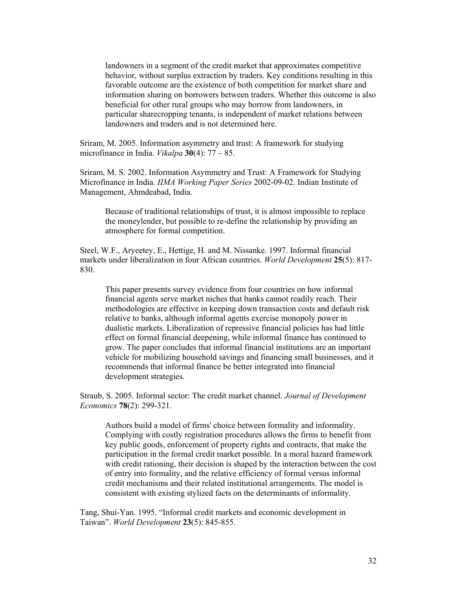landowners in a segment of the credit market that approximates competitive behavior, without surplus extraction by traders. Key conditions resulting in this favorable outcome are the existence of both competition for market share and information sharing on borrowers between traders. Whether this outcome is also beneficial for other rural groups who may borrow from landowners, in particular sharecropping tenants, is independent of market relations between landowners and traders and is not determined here.

Sriram, M. 2005. Information asymmetry and trust: A framework for studying microfinance in India. *Vikalpa* **30**(4): 77 – 85.

Sriram, M. S. 2002. Information Asymmetry and Trust: A Framework for Studying Microfinance in India. *IIMA Working Paper Series* 2002-09-02. Indian Institute of Management, Ahmdeabad, India.

Because of traditional relationships of trust, it is almost impossible to replace the moneylender, but possible to re-define the relationship by providing an atmosphere for formal competition.

Steel, W.F., Aryeetey, E., Hettige, H. and M. Nissanke. 1997. Informal financial markets under liberalization in four African countries. *World Development* **25**(5): 817- 830.

This paper presents survey evidence from four countries on how informal financial agents serve market niches that banks cannot readily reach. Their methodologies are effective in keeping down transaction costs and default risk relative to banks, although informal agents exercise monopoly power in dualistic markets. Liberalization of repressive financial policies has had little effect on formal financial deepening, while informal finance has continued to grow. The paper concludes that informal financial institutions are an important vehicle for mobilizing household savings and financing small businesses, and it recommends that informal finance be better integrated into financial development strategies.

Straub, S. 2005. Informal sector: The credit market channel. *Journal of Development Economics* **78**(2): 299-321.

Authors build a model of firms' choice between formality and informality. Complying with costly registration procedures allows the firms to benefit from key public goods, enforcement of property rights and contracts, that make the participation in the formal credit market possible. In a moral hazard framework with credit rationing, their decision is shaped by the interaction between the cost of entry into formality, and the relative efficiency of formal versus informal credit mechanisms and their related institutional arrangements. The model is consistent with existing stylized facts on the determinants of informality.

Tang, Shui-Yan. 1995. "Informal credit markets and economic development in Taiwan". *World Development* **23**(5): 845-855.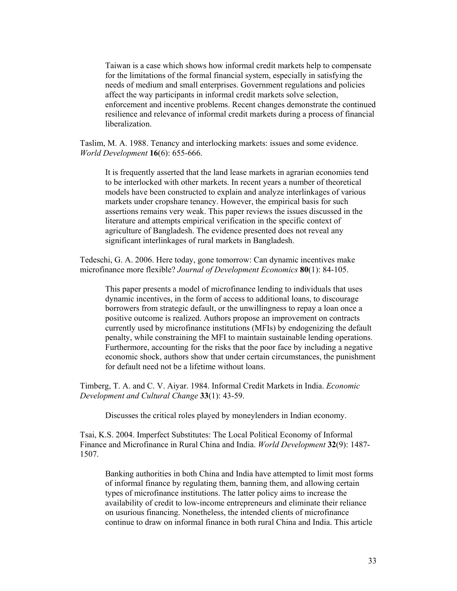Taiwan is a case which shows how informal credit markets help to compensate for the limitations of the formal financial system, especially in satisfying the needs of medium and small enterprises. Government regulations and policies affect the way participants in informal credit markets solve selection, enforcement and incentive problems. Recent changes demonstrate the continued resilience and relevance of informal credit markets during a process of financial liberalization.

Taslim, M. A. 1988. Tenancy and interlocking markets: issues and some evidence. *World Development* **16**(6): 655-666.

It is frequently asserted that the land lease markets in agrarian economies tend to be interlocked with other markets. In recent years a number of theoretical models have been constructed to explain and analyze interlinkages of various markets under cropshare tenancy. However, the empirical basis for such assertions remains very weak. This paper reviews the issues discussed in the literature and attempts empirical verification in the specific context of agriculture of Bangladesh. The evidence presented does not reveal any significant interlinkages of rural markets in Bangladesh.

Tedeschi, G. A. 2006. Here today, gone tomorrow: Can dynamic incentives make microfinance more flexible? *Journal of Development Economics* **80**(1): 84-105.

This paper presents a model of microfinance lending to individuals that uses dynamic incentives, in the form of access to additional loans, to discourage borrowers from strategic default, or the unwillingness to repay a loan once a positive outcome is realized. Authors propose an improvement on contracts currently used by microfinance institutions (MFIs) by endogenizing the default penalty, while constraining the MFI to maintain sustainable lending operations. Furthermore, accounting for the risks that the poor face by including a negative economic shock, authors show that under certain circumstances, the punishment for default need not be a lifetime without loans.

Timberg, T. A. and C. V. Aiyar. 1984. Informal Credit Markets in India. *Economic Development and Cultural Change* **33**(1): 43-59.

Discusses the critical roles played by moneylenders in Indian economy.

Tsai, K.S. 2004. Imperfect Substitutes: The Local Political Economy of Informal Finance and Microfinance in Rural China and India. *World Development* **32**(9): 1487- 1507.

Banking authorities in both China and India have attempted to limit most forms of informal finance by regulating them, banning them, and allowing certain types of microfinance institutions. The latter policy aims to increase the availability of credit to low-income entrepreneurs and eliminate their reliance on usurious financing. Nonetheless, the intended clients of microfinance continue to draw on informal finance in both rural China and India. This article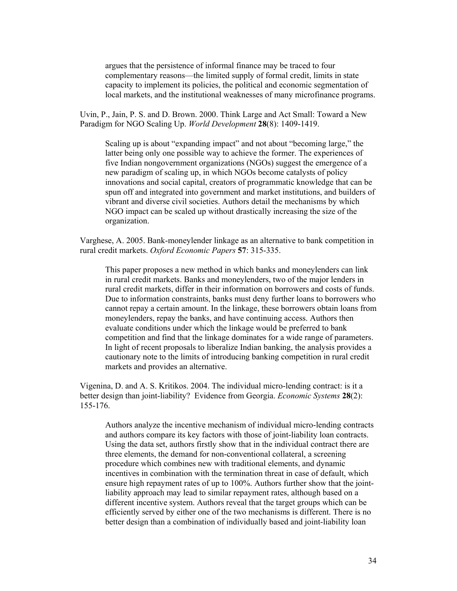argues that the persistence of informal finance may be traced to four complementary reasons––the limited supply of formal credit, limits in state capacity to implement its policies, the political and economic segmentation of local markets, and the institutional weaknesses of many microfinance programs.

Uvin, P., Jain, P. S. and D. Brown. 2000. Think Large and Act Small: Toward a New Paradigm for NGO Scaling Up. *World Development* **28**(8): 1409-1419.

Scaling up is about "expanding impact" and not about "becoming large," the latter being only one possible way to achieve the former. The experiences of five Indian nongovernment organizations (NGOs) suggest the emergence of a new paradigm of scaling up, in which NGOs become catalysts of policy innovations and social capital, creators of programmatic knowledge that can be spun off and integrated into government and market institutions, and builders of vibrant and diverse civil societies. Authors detail the mechanisms by which NGO impact can be scaled up without drastically increasing the size of the organization.

Varghese, A. 2005. Bank-moneylender linkage as an alternative to bank competition in rural credit markets. *Oxford Economic Papers* **57**: 315-335.

This paper proposes a new method in which banks and moneylenders can link in rural credit markets. Banks and moneylenders, two of the major lenders in rural credit markets, differ in their information on borrowers and costs of funds. Due to information constraints, banks must deny further loans to borrowers who cannot repay a certain amount. In the linkage, these borrowers obtain loans from moneylenders, repay the banks, and have continuing access. Authors then evaluate conditions under which the linkage would be preferred to bank competition and find that the linkage dominates for a wide range of parameters. In light of recent proposals to liberalize Indian banking, the analysis provides a cautionary note to the limits of introducing banking competition in rural credit markets and provides an alternative.

Vigenina, D. and A. S. Kritikos. 2004. The individual micro-lending contract: is it a better design than joint-liability? Evidence from Georgia. *Economic Systems* **28**(2): 155-176.

Authors analyze the incentive mechanism of individual micro-lending contracts and authors compare its key factors with those of joint-liability loan contracts. Using the data set, authors firstly show that in the individual contract there are three elements, the demand for non-conventional collateral, a screening procedure which combines new with traditional elements, and dynamic incentives in combination with the termination threat in case of default, which ensure high repayment rates of up to 100%. Authors further show that the jointliability approach may lead to similar repayment rates, although based on a different incentive system. Authors reveal that the target groups which can be efficiently served by either one of the two mechanisms is different. There is no better design than a combination of individually based and joint-liability loan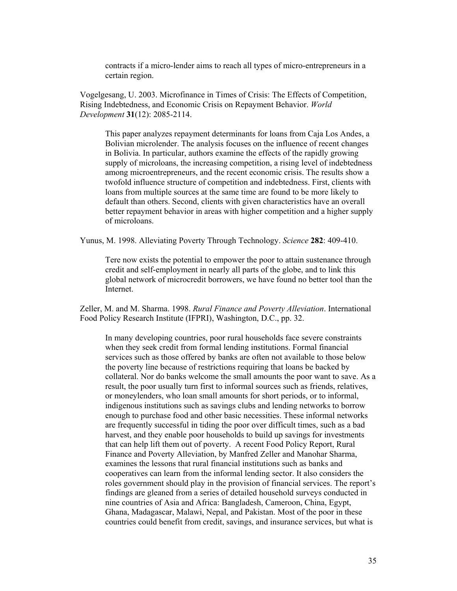contracts if a micro-lender aims to reach all types of micro-entrepreneurs in a certain region.

Vogelgesang, U. 2003. Microfinance in Times of Crisis: The Effects of Competition, Rising Indebtedness, and Economic Crisis on Repayment Behavior. *World Development* **31**(12): 2085-2114.

This paper analyzes repayment determinants for loans from Caja Los Andes, a Bolivian microlender. The analysis focuses on the influence of recent changes in Bolivia. In particular, authors examine the effects of the rapidly growing supply of microloans, the increasing competition, a rising level of indebtedness among microentrepreneurs, and the recent economic crisis. The results show a twofold influence structure of competition and indebtedness. First, clients with loans from multiple sources at the same time are found to be more likely to default than others. Second, clients with given characteristics have an overall better repayment behavior in areas with higher competition and a higher supply of microloans.

Yunus, M. 1998. Alleviating Poverty Through Technology. *Science* **282**: 409-410.

Tere now exists the potential to empower the poor to attain sustenance through credit and self-employment in nearly all parts of the globe, and to link this global network of microcredit borrowers, we have found no better tool than the Internet.

Zeller, M. and M. Sharma. 1998. *Rural Finance and Poverty Alleviation*. International Food Policy Research Institute (IFPRI), Washington, D.C., pp. 32.

In many developing countries, poor rural households face severe constraints when they seek credit from formal lending institutions. Formal financial services such as those offered by banks are often not available to those below the poverty line because of restrictions requiring that loans be backed by collateral. Nor do banks welcome the small amounts the poor want to save. As a result, the poor usually turn first to informal sources such as friends, relatives, or moneylenders, who loan small amounts for short periods, or to informal, indigenous institutions such as savings clubs and lending networks to borrow enough to purchase food and other basic necessities. These informal networks are frequently successful in tiding the poor over difficult times, such as a bad harvest, and they enable poor households to build up savings for investments that can help lift them out of poverty. A recent Food Policy Report, Rural Finance and Poverty Alleviation, by Manfred Zeller and Manohar Sharma, examines the lessons that rural financial institutions such as banks and cooperatives can learn from the informal lending sector. It also considers the roles government should play in the provision of financial services. The report's findings are gleaned from a series of detailed household surveys conducted in nine countries of Asia and Africa: Bangladesh, Cameroon, China, Egypt, Ghana, Madagascar, Malawi, Nepal, and Pakistan. Most of the poor in these countries could benefit from credit, savings, and insurance services, but what is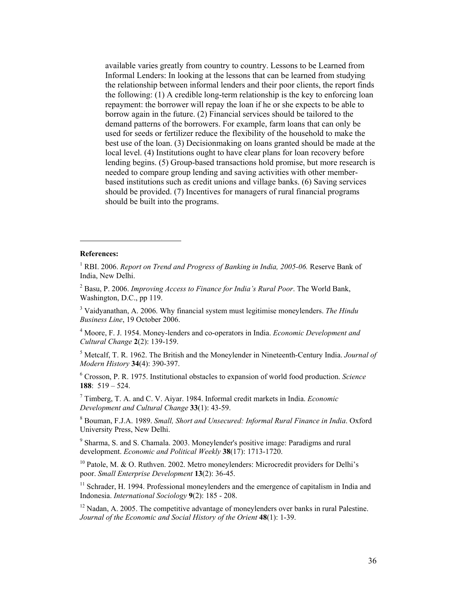available varies greatly from country to country. Lessons to be Learned from Informal Lenders: In looking at the lessons that can be learned from studying the relationship between informal lenders and their poor clients, the report finds the following: (1) A credible long-term relationship is the key to enforcing loan repayment: the borrower will repay the loan if he or she expects to be able to borrow again in the future. (2) Financial services should be tailored to the demand patterns of the borrowers. For example, farm loans that can only be used for seeds or fertilizer reduce the flexibility of the household to make the best use of the loan. (3) Decisionmaking on loans granted should be made at the local level. (4) Institutions ought to have clear plans for loan recovery before lending begins. (5) Group-based transactions hold promise, but more research is needed to compare group lending and saving activities with other memberbased institutions such as credit unions and village banks. (6) Saving services should be provided. (7) Incentives for managers of rural financial programs should be built into the programs.

## **References:**

 $\overline{a}$ 

<sup>1</sup> RBI. 2006. *Report on Trend and Progress of Banking in India, 2005-06*. Reserve Bank of India, New Delhi.

2 Basu, P. 2006. *Improving Access to Finance for India's Rural Poor*. The World Bank, Washington, D.C., pp 119.

3 Vaidyanathan, A. 2006. Why financial system must legitimise moneylenders. *The Hindu Business Line*, 19 October 2006.

4 Moore, F. J. 1954. Money-lenders and co-operators in India. *Economic Development and Cultural Change* **2**(2): 139-159.

5 Metcalf, T. R. 1962. The British and the Moneylender in Nineteenth-Century India. *Journal of Modern History* **34**(4): 390-397.

6 Crosson, P. R. 1975. Institutional obstacles to expansion of world food production. *Science* **188**: 519 – 524.

7 Timberg, T. A. and C. V. Aiyar. 1984. Informal credit markets in India. *Economic Development and Cultural Change* **33**(1): 43-59.

8 Bouman, F.J.A. 1989. *Small, Short and Unsecured: Informal Rural Finance in India*. Oxford University Press, New Delhi.

<sup>9</sup> Sharma, S. and S. Chamala. 2003. Moneylender's positive image: Paradigms and rural development. *Economic and Political Weekly* **38**(17): 1713-1720.

 $10$  Patole, M. & O. Ruthven. 2002. Metro moneylenders: Microcredit providers for Delhi's poor. *Small Enterprise Development* **13**(2): 36-45.

<sup>11</sup> Schrader, H. 1994. Professional moneylenders and the emergence of capitalism in India and Indonesia. *International Sociology* **9**(2): 185 - 208.

 $12$  Nadan, A. 2005. The competitive advantage of moneylenders over banks in rural Palestine. *Journal of the Economic and Social History of the Orient* **48**(1): 1-39.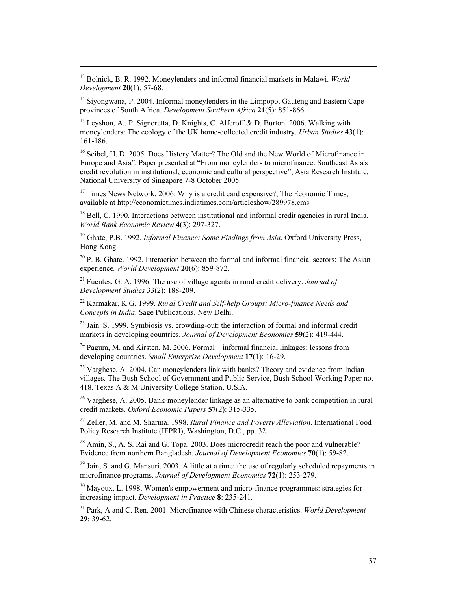13 Bolnick, B. R. 1992. Moneylenders and informal financial markets in Malawi. *World Development* **20**(1): 57-68.

 $\overline{a}$ 

<sup>14</sup> Siyongwana, P. 2004. Informal moneylenders in the Limpopo, Gauteng and Eastern Cape provinces of South Africa. *Development Southern Africa* **21**(5): 851-866.

<sup>15</sup> Leyshon, A., P. Signoretta, D. Knights, C. Alferoff & D. Burton. 2006. Walking with moneylenders: The ecology of the UK home-collected credit industry. *Urban Studies* **43**(1): 161-186.

<sup>16</sup> Seibel, H. D. 2005. Does History Matter? The Old and the New World of Microfinance in Europe and Asia". Paper presented at "From moneylenders to microfinance: Southeast Asia's credit revolution in institutional, economic and cultural perspective"; Asia Research Institute, National University of Singapore 7-8 October 2005.

<sup>17</sup> Times News Network, 2006. Why is a credit card expensive?, The Economic Times, available at http://economictimes.indiatimes.com/articleshow/289978.cms

<sup>18</sup> Bell, C. 1990. Interactions between institutional and informal credit agencies in rural India. *World Bank Economic Review* **4**(3): 297-327.

19 Ghate, P.B. 1992. *Informal Finance: Some Findings from Asia*. Oxford University Press, Hong Kong.

 $20$  P. B. Ghate. 1992. Interaction between the formal and informal financial sectors: The Asian experience*. World Development* **20**(6): 859-872.

21 Fuentes, G. A. 1996. The use of village agents in rural credit delivery. *Journal of Development Studies* 33(2): 188-209.

22 Karmakar, K.G. 1999. *Rural Credit and Self-help Groups: Micro-finance Needs and Concepts in India*. Sage Publications, New Delhi.

<sup>23</sup> Jain. S. 1999. Symbiosis vs. crowding-out: the interaction of formal and informal credit markets in developing countries. *Journal of Development Economics* **59**(2): 419-444.

24 Pagura, M. and Kirsten, M. 2006. Formal—informal financial linkages: lessons from developing countries. *Small Enterprise Development* **17**(1): 16-29.

<sup>25</sup> Varghese, A. 2004. Can moneylenders link with banks? Theory and evidence from Indian villages. The Bush School of Government and Public Service, Bush School Working Paper no. 418. Texas A & M University College Station, U.S.A.

 $26$  Varghese, A. 2005. Bank-moneylender linkage as an alternative to bank competition in rural credit markets. *Oxford Economic Papers* **57**(2): 315-335.

27 Zeller, M. and M. Sharma. 1998. *Rural Finance and Poverty Alleviation*. International Food Policy Research Institute (IFPRI), Washington, D.C., pp. 32.

<sup>28</sup> Amin, S., A. S. Rai and G. Topa. 2003. Does microcredit reach the poor and vulnerable? Evidence from northern Bangladesh. *Journal of Development Economics* **70**(1): 59-82.

 $29$  Jain, S. and G. Mansuri. 2003. A little at a time: the use of regularly scheduled repayments in microfinance programs. *Journal of Development Economics* **72**(1): 253-279.

<sup>30</sup> Mayoux, L. 1998. Women's empowerment and micro-finance programmes: strategies for increasing impact. *Development in Practice* **8**: 235-241.

31 Park, A and C. Ren. 2001. Microfinance with Chinese characteristics. *World Development* **29**: 39-62.